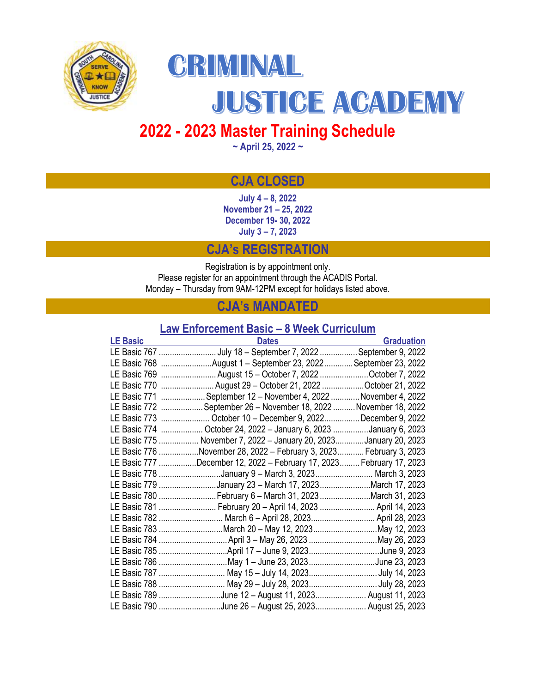



JUSTICE ACADEMY

# **2022 - 2023 Master Training Schedule**

**~ April 25, 2022 ~**

# **CJA CLOSED**

**July 4 – 8, 2022 November 21 – 25, 2022 December 19- 30, 2022 July 3 – 7, 2023**

# **CJA's REGISTRATION**

Registration is by appointment only. Please register for an appointment through the ACADIS Portal. Monday – Thursday from 9AM-12PM except for holidays listed above.

# **CJA's MANDATED**

# **Law Enforcement Basic – 8 Week Curriculum**

| <b>LE Basic</b> | <b>Dates</b>                                                          | <b>Graduation</b> |
|-----------------|-----------------------------------------------------------------------|-------------------|
|                 | LE Basic 767 July 18 - September 7, 2022 September 9, 2022            |                   |
|                 | LE Basic 768 August 1 - September 23, 2022 September 23, 2022         |                   |
|                 | LE Basic 769  August 15 - October 7, 2022 October 7, 2022             |                   |
|                 | LE Basic 770 August 29 - October 21, 2022 October 21, 2022            |                   |
|                 | LE Basic 771 September 12 - November 4, 2022 November 4, 2022         |                   |
|                 | LE Basic 772  September 26 - November 18, 2022  November 18, 2022     |                   |
|                 | LE Basic 773  October 10 - December 9, 2022 December 9, 2022          |                   |
|                 | LE Basic 774  October 24, 2022 - January 6, 2023 January 6, 2023      |                   |
|                 | LE Basic 775  November 7, 2022 - January 20, 2023January 20, 2023     |                   |
|                 | LE Basic 776 November 28, 2022 - February 3, 2023  February 3, 2023   |                   |
|                 | LE Basic 777 December 12, 2022 - February 17, 2023  February 17, 2023 |                   |
|                 | LE Basic 778 January 9 - March 3, 2023  March 3, 2023                 |                   |
|                 | LE Basic 779 January 23 - March 17, 2023 March 17, 2023               |                   |
|                 | LE Basic 780 February 6 - March 31, 2023 March 31, 2023               |                   |
|                 | LE Basic 781  February 20 - April 14, 2023  April 14, 2023            |                   |
|                 | LE Basic 782  March 6 - April 28, 2023 April 28, 2023                 |                   |
|                 | LE Basic 783 March 20 - May 12, 2023 May 12, 2023                     |                   |
|                 |                                                                       |                   |
|                 |                                                                       |                   |
|                 | LE Basic 786 May 1 - June 23, 2023 June 23, 2023                      |                   |
|                 | LE Basic 787  May 15 - July 14, 2023July 14, 2023                     |                   |
|                 | LE Basic 788  May 29 - July 28, 2023 July 28, 2023                    |                   |
|                 | LE Basic 789 June 12 - August 11, 2023 August 11, 2023                |                   |
|                 | LE Basic 790 June 26 - August 25, 2023  August 25, 2023               |                   |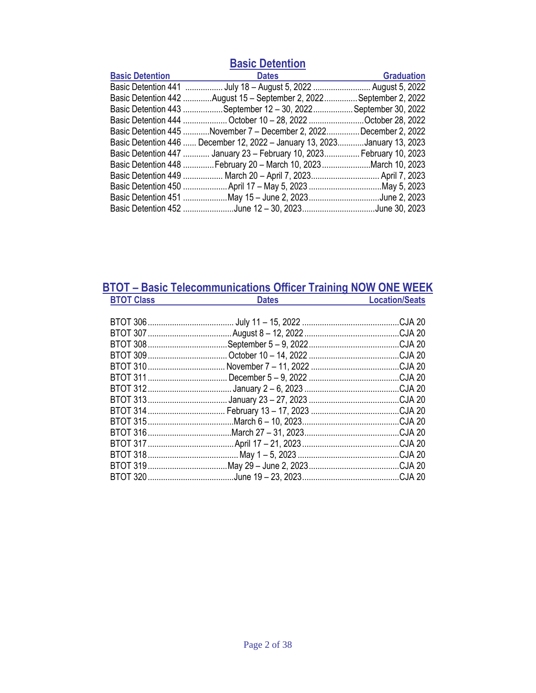| <b>Basic Detention</b> |                                                                           |                   |  |
|------------------------|---------------------------------------------------------------------------|-------------------|--|
| <b>Basic Detention</b> | <b>Dates</b>                                                              | <b>Graduation</b> |  |
|                        | Basic Detention 441  July 18 - August 5, 2022  August 5, 2022             |                   |  |
|                        | Basic Detention 442 August 15 - September 2, 2022  September 2, 2022      |                   |  |
|                        | Basic Detention 443 September 12 - 30, 2022 September 30, 2022            |                   |  |
|                        | Basic Detention 444  October 10 - 28, 2022 October 28, 2022               |                   |  |
|                        | Basic Detention 445 November 7 - December 2, 2022December 2, 2022         |                   |  |
|                        | Basic Detention 446  December 12, 2022 - January 13, 2023January 13, 2023 |                   |  |
|                        | Basic Detention 447  January 23 - February 10, 2023  February 10, 2023    |                   |  |
|                        | Basic Detention 448 February 20 - March 10, 2023 March 10, 2023           |                   |  |
|                        | Basic Detention 449  March 20 - April 7, 2023 April 7, 2023               |                   |  |
|                        |                                                                           |                   |  |
|                        | Basic Detention 451 May 15 - June 2, 2023 June 2, 2023                    |                   |  |
|                        | Basic Detention 452 June 12 - 30, 2023June 30, 2023                       |                   |  |

# **BTOT – Basic Telecommunications Officer Training NOW ONE WEEK BTOT Class Dates Dates Location/Seats**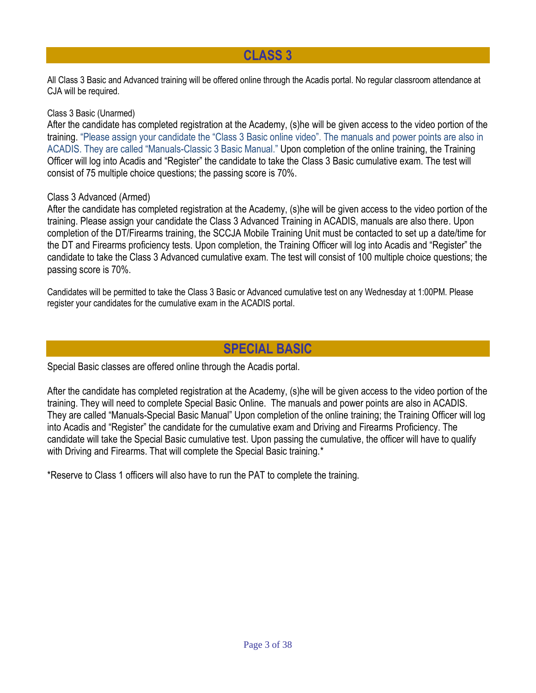# **CLASS 3**

All Class 3 Basic and Advanced training will be offered online through the Acadis portal. No regular classroom attendance at CJA will be required.

# Class 3 Basic (Unarmed)

After the candidate has completed registration at the Academy, (s)he will be given access to the video portion of the training. "Please assign your candidate the "Class 3 Basic online video". The manuals and power points are also in ACADIS. They are called "Manuals-Classic 3 Basic Manual." Upon completion of the online training, the Training Officer will log into Acadis and "Register" the candidate to take the Class 3 Basic cumulative exam. The test will consist of 75 multiple choice questions; the passing score is 70%.

# Class 3 Advanced (Armed)

After the candidate has completed registration at the Academy, (s)he will be given access to the video portion of the training. Please assign your candidate the Class 3 Advanced Training in ACADIS, manuals are also there. Upon completion of the DT/Firearms training, the SCCJA Mobile Training Unit must be contacted to set up a date/time for the DT and Firearms proficiency tests. Upon completion, the Training Officer will log into Acadis and "Register" the candidate to take the Class 3 Advanced cumulative exam. The test will consist of 100 multiple choice questions; the passing score is 70%.

Candidates will be permitted to take the Class 3 Basic or Advanced cumulative test on any Wednesday at 1:00PM. Please register your candidates for the cumulative exam in the ACADIS portal.

# **SPECIAL BASIC**

Special Basic classes are offered online through the Acadis portal.

After the candidate has completed registration at the Academy, (s)he will be given access to the video portion of the training. They will need to complete Special Basic Online. The manuals and power points are also in ACADIS. They are called "Manuals-Special Basic Manual" Upon completion of the online training; the Training Officer will log into Acadis and "Register" the candidate for the cumulative exam and Driving and Firearms Proficiency. The candidate will take the Special Basic cumulative test. Upon passing the cumulative, the officer will have to qualify with Driving and Firearms. That will complete the Special Basic training.<sup>\*</sup>

\*Reserve to Class 1 officers will also have to run the PAT to complete the training.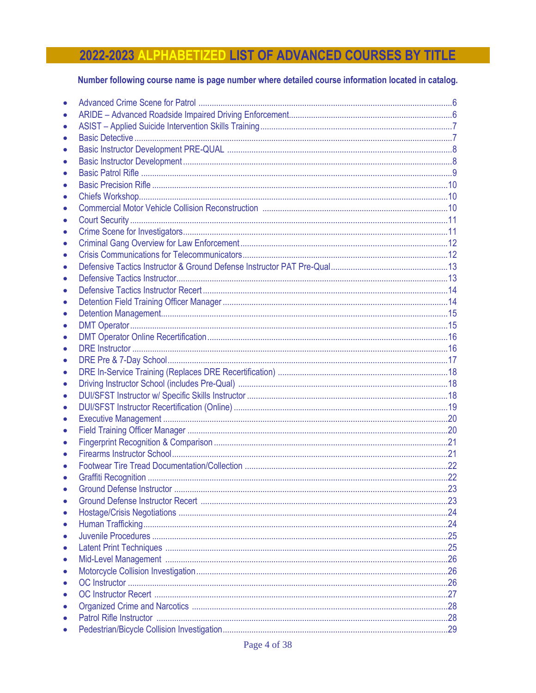# 2022-2023 ALPHABETIZED LIST OF ADVANCED COURSES BY TITLE

# Number following course name is page number where detailed course information located in catalog.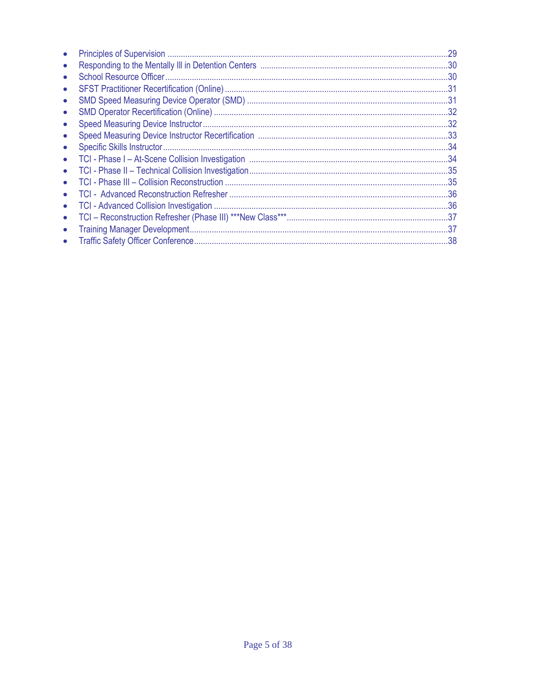|           | .29 |
|-----------|-----|
|           |     |
|           |     |
|           |     |
|           |     |
| $\bullet$ |     |
|           |     |
|           |     |
|           |     |
| $\bullet$ |     |
| $\bullet$ |     |
|           |     |
|           |     |
| $\bullet$ |     |
| $\bullet$ |     |
| $\bullet$ | .37 |
|           |     |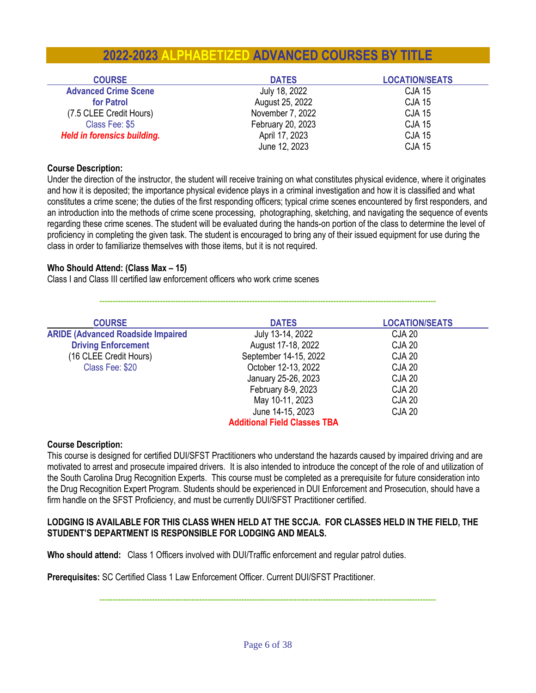# **2022-2023 ALPHABETIZED ADVANCED COURSES BY TITLE**

| <b>COURSE</b>                      | <b>DATES</b>      | <b>LOCATION/SEATS</b> |
|------------------------------------|-------------------|-----------------------|
| <b>Advanced Crime Scene</b>        | July 18, 2022     | <b>CJA 15</b>         |
| for Patrol                         | August 25, 2022   | <b>CJA 15</b>         |
| (7.5 CLEE Credit Hours)            | November 7, 2022  | <b>CJA 15</b>         |
| Class Fee: \$5                     | February 20, 2023 | <b>CJA 15</b>         |
| <b>Held in forensics building.</b> | April 17, 2023    | <b>CJA 15</b>         |
|                                    | June 12, 2023     | <b>CJA 15</b>         |

### **Course Description:**

Under the direction of the instructor, the student will receive training on what constitutes physical evidence, where it originates and how it is deposited; the importance physical evidence plays in a criminal investigation and how it is classified and what constitutes a crime scene; the duties of the first responding officers; typical crime scenes encountered by first responders, and an introduction into the methods of crime scene processing, photographing, sketching, and navigating the sequence of events regarding these crime scenes. The student will be evaluated during the hands-on portion of the class to determine the level of proficiency in completing the given task. The student is encouraged to bring any of their issued equipment for use during the class in order to familiarize themselves with those items, but it is not required.

# **Who Should Attend: (Class Max – 15)**

Class I and Class III certified law enforcement officers who work crime scenes

| <b>COURSE</b>                            | <b>DATES</b>                        | <b>LOCATION/SEATS</b> |
|------------------------------------------|-------------------------------------|-----------------------|
| <b>ARIDE (Advanced Roadside Impaired</b> | July 13-14, 2022                    | <b>CJA 20</b>         |
| <b>Driving Enforcement</b>               | August 17-18, 2022                  | <b>CJA 20</b>         |
| (16 CLEE Credit Hours)                   | September 14-15, 2022               | <b>CJA 20</b>         |
| Class Fee: \$20                          | October 12-13, 2022                 | <b>CJA 20</b>         |
|                                          | January 25-26, 2023                 | <b>CJA 20</b>         |
|                                          | February 8-9, 2023                  | <b>CJA 20</b>         |
|                                          | May 10-11, 2023                     | <b>CJA 20</b>         |
|                                          | June 14-15, 2023                    | <b>CJA 20</b>         |
|                                          | <b>Additional Field Classes TBA</b> |                       |

**--------------------------------------------------------------------------------------------------------------------------------**

#### **Course Description:**

This course is designed for certified DUI/SFST Practitioners who understand the hazards caused by impaired driving and are motivated to arrest and prosecute impaired drivers. It is also intended to introduce the concept of the role of and utilization of the South Carolina Drug Recognition Experts. This course must be completed as a prerequisite for future consideration into the Drug Recognition Expert Program. Students should be experienced in DUI Enforcement and Prosecution, should have a firm handle on the SFST Proficiency, and must be currently DUI/SFST Practitioner certified.

# **LODGING IS AVAILABLE FOR THIS CLASS WHEN HELD AT THE SCCJA. FOR CLASSES HELD IN THE FIELD, THE STUDENT'S DEPARTMENT IS RESPONSIBLE FOR LODGING AND MEALS.**

**Who should attend:** Class 1 Officers involved with DUI/Traffic enforcement and regular patrol duties.

**Prerequisites:** SC Certified Class 1 Law Enforcement Officer. Current DUI/SFST Practitioner.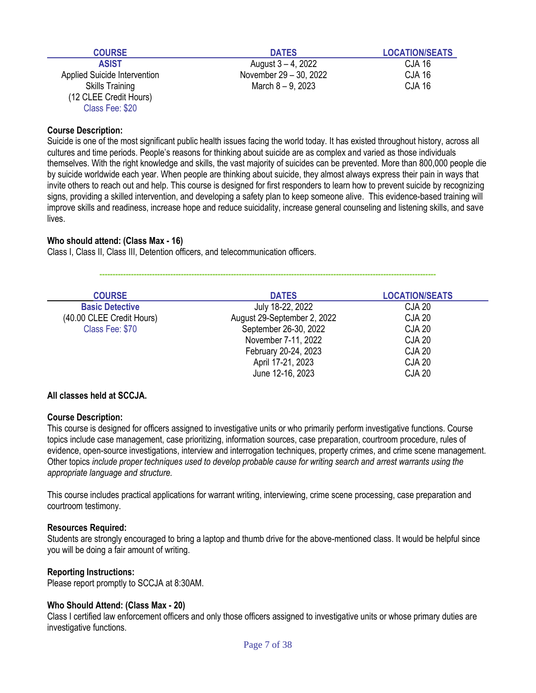| <b>COURSE</b>                | <b>DATES</b>           | <b>LOCATION/SEATS</b> |
|------------------------------|------------------------|-----------------------|
| <b>ASIST</b>                 | August 3 – 4, 2022     | <b>CJA 16</b>         |
| Applied Suicide Intervention | November 29 - 30, 2022 | <b>CJA 16</b>         |
| <b>Skills Training</b>       | March $8 - 9$ , 2023   | <b>CJA 16</b>         |
| (12 CLEE Credit Hours)       |                        |                       |
| Class Fee: \$20              |                        |                       |

Suicide is one of the most significant public health issues facing the world today. It has existed throughout history, across all cultures and time periods. People's reasons for thinking about suicide are as complex and varied as those individuals themselves. With the right knowledge and skills, the vast majority of suicides can be prevented. More than 800,000 people die by suicide worldwide each year. When people are thinking about suicide, they almost always express their pain in ways that invite others to reach out and help. This course is designed for first responders to learn how to prevent suicide by recognizing signs, providing a skilled intervention, and developing a safety plan to keep someone alive. This evidence-based training will improve skills and readiness, increase hope and reduce suicidality, increase general counseling and listening skills, and save lives.

# **Who should attend: (Class Max - 16)**

Class I, Class II, Class III, Detention officers, and telecommunication officers.

| <b>COURSE</b>             | <b>DATES</b>                | <b>LOCATION/SEATS</b> |  |
|---------------------------|-----------------------------|-----------------------|--|
| <b>Basic Detective</b>    | July 18-22, 2022            | <b>CJA 20</b>         |  |
| (40.00 CLEE Credit Hours) | August 29-September 2, 2022 | <b>CJA 20</b>         |  |
| Class Fee: \$70           | September 26-30, 2022       | <b>CJA 20</b>         |  |
|                           | November 7-11, 2022         | <b>CJA 20</b>         |  |
|                           | February 20-24, 2023        | <b>CJA 20</b>         |  |
|                           | April 17-21, 2023           | <b>CJA 20</b>         |  |
|                           | June 12-16, 2023            | <b>CJA 20</b>         |  |

**--------------------------------------------------------------------------------------------------------------------------------**

#### **All classes held at SCCJA.**

#### **Course Description:**

This course is designed for officers assigned to investigative units or who primarily perform investigative functions. Course topics include case management, case prioritizing, information sources, case preparation, courtroom procedure, rules of evidence, open-source investigations, interview and interrogation techniques, property crimes, and crime scene management. Other topics *include proper techniques used to develop probable cause for writing search and arrest warrants using the appropriate language and structure.* 

This course includes practical applications for warrant writing, interviewing, crime scene processing, case preparation and courtroom testimony.

#### **Resources Required:**

Students are strongly encouraged to bring a laptop and thumb drive for the above-mentioned class. It would be helpful since you will be doing a fair amount of writing.

# **Reporting Instructions:**

Please report promptly to SCCJA at 8:30AM.

#### **Who Should Attend: (Class Max - 20)**

Class I certified law enforcement officers and only those officers assigned to investigative units or whose primary duties are investigative functions.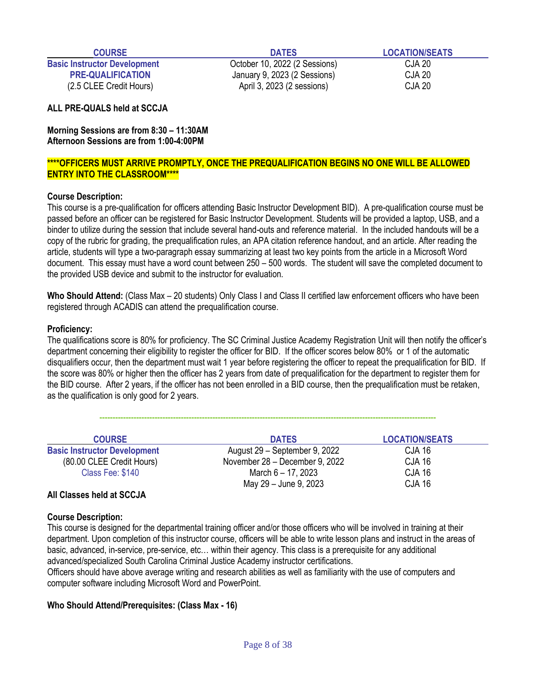**Basic Instructor Development** October 10, 2022 (2 Sessions) CJA 20 **PRE-QUALIFICATION** January 9, 2023 (2 Sessions) CJA 20 (2.5 CLEE Credit Hours) April 3, 2023 (2 sessions) CJA 20

**COURSE DATES LOCATION/SEATS** 

**ALL PRE-QUALS held at SCCJA**

**Morning Sessions are from 8:30 – 11:30AM Afternoon Sessions are from 1:00-4:00PM**

# **\*\*\*\*OFFICERS MUST ARRIVE PROMPTLY, ONCE THE PREQUALIFICATION BEGINS NO ONE WILL BE ALLOWED ENTRY INTO THE CLASSROOM\*\*\*\***

# **Course Description:**

This course is a pre-qualification for officers attending Basic Instructor Development BID). A pre-qualification course must be passed before an officer can be registered for Basic Instructor Development. Students will be provided a laptop, USB, and a binder to utilize during the session that include several hand-outs and reference material. In the included handouts will be a copy of the rubric for grading, the prequalification rules, an APA citation reference handout, and an article. After reading the article, students will type a two-paragraph essay summarizing at least two key points from the article in a Microsoft Word document. This essay must have a word count between 250 – 500 words. The student will save the completed document to the provided USB device and submit to the instructor for evaluation.

**Who Should Attend:** (Class Max – 20 students) Only Class I and Class II certified law enforcement officers who have been registered through ACADIS can attend the prequalification course.

#### **Proficiency:**

The qualifications score is 80% for proficiency. The SC Criminal Justice Academy Registration Unit will then notify the officer's department concerning their eligibility to register the officer for BID. If the officer scores below 80% or 1 of the automatic disqualifiers occur, then the department must wait 1 year before registering the officer to repeat the prequalification for BID. If the score was 80% or higher then the officer has 2 years from date of prequalification for the department to register them for the BID course. After 2 years, if the officer has not been enrolled in a BID course, then the prequalification must be retaken, as the qualification is only good for 2 years.

**--------------------------------------------------------------------------------------------------------------------------------**

| <b>COURSE</b>                       | <b>DATES</b>                   | <b>LOCATION/SEATS</b> |
|-------------------------------------|--------------------------------|-----------------------|
| <b>Basic Instructor Development</b> | August 29 - September 9, 2022  | CJA 16                |
| (80.00 CLEE Credit Hours)           | November 28 - December 9, 2022 | CJA 16                |
| Class Fee: \$140                    | March 6 - 17, 2023             | <b>CJA 16</b>         |
|                                     | May 29 - June 9, 2023          | <b>CJA 16</b>         |

#### **All Classes held at SCCJA**

#### **Course Description:**

This course is designed for the departmental training officer and/or those officers who will be involved in training at their department. Upon completion of this instructor course, officers will be able to write lesson plans and instruct in the areas of basic, advanced, in-service, pre-service, etc… within their agency. This class is a prerequisite for any additional advanced/specialized South Carolina Criminal Justice Academy instructor certifications.

Officers should have above average writing and research abilities as well as familiarity with the use of computers and computer software including Microsoft Word and PowerPoint.

#### **Who Should Attend/Prerequisites: (Class Max - 16)**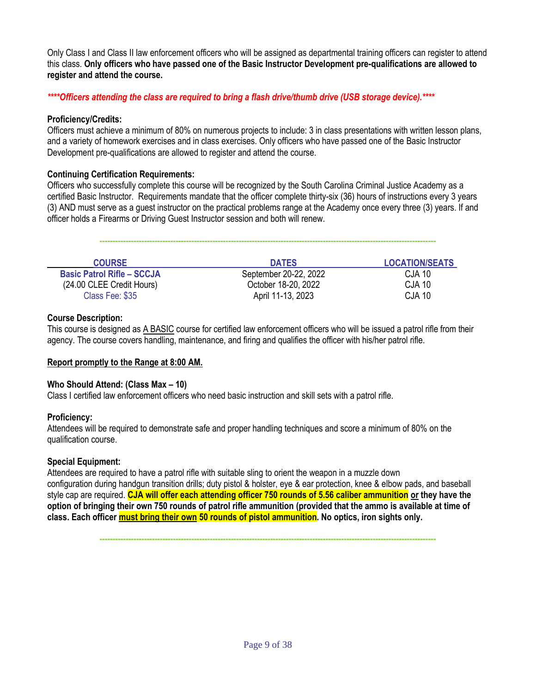Only Class I and Class II law enforcement officers who will be assigned as departmental training officers can register to attend this class. **Only officers who have passed one of the Basic Instructor Development pre-qualifications are allowed to register and attend the course.** 

*\*\*\*\*Officers attending the class are required to bring a flash drive/thumb drive (USB storage device).\*\*\*\**

# **Proficiency/Credits:**

Officers must achieve a minimum of 80% on numerous projects to include: 3 in class presentations with written lesson plans, and a variety of homework exercises and in class exercises. Only officers who have passed one of the Basic Instructor Development pre-qualifications are allowed to register and attend the course.

## **Continuing Certification Requirements:**

Officers who successfully complete this course will be recognized by the South Carolina Criminal Justice Academy as a certified Basic Instructor. Requirements mandate that the officer complete thirty-six (36) hours of instructions every 3 years (3) AND must serve as a guest instructor on the practical problems range at the Academy once every three (3) years. If and officer holds a Firearms or Driving Guest Instructor session and both will renew.

| <b>COURSE</b>                     | <b>DATES</b>          | <b>LOCATION/SEATS</b> |
|-----------------------------------|-----------------------|-----------------------|
| <b>Basic Patrol Rifle – SCCJA</b> | September 20-22, 2022 | CJA 10                |
| (24.00 CLEE Credit Hours)         | October 18-20, 2022   | CJA 10                |
| Class Fee: \$35                   | April 11-13, 2023     | CJA 10                |

## **Course Description:**

This course is designed as A BASIC course for certified law enforcement officers who will be issued a patrol rifle from their agency. The course covers handling, maintenance, and firing and qualifies the officer with his/her patrol rifle.

#### **Report promptly to the Range at 8:00 AM.**

# **Who Should Attend: (Class Max – 10)**

Class I certified law enforcement officers who need basic instruction and skill sets with a patrol rifle.

# **Proficiency:**

Attendees will be required to demonstrate safe and proper handling techniques and score a minimum of 80% on the qualification course.

#### **Special Equipment:**

Attendees are required to have a patrol rifle with suitable sling to orient the weapon in a muzzle down configuration during handgun transition drills; duty pistol & holster, eye & ear protection, knee & elbow pads, and baseball style cap are required. **CJA will offer each attending officer 750 rounds of 5.56 caliber ammunition or they have the option of bringing their own 750 rounds of patrol rifle ammunition (provided that the ammo is available at time of class. Each officer must bring their own 50 rounds of pistol ammunition. No optics, iron sights only.**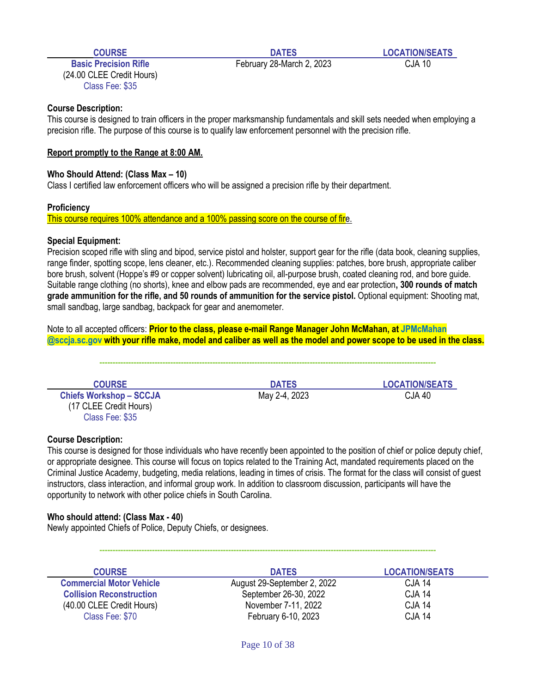(24.00 CLEE Credit Hours) Class Fee: \$35

**Basic Precision Rifle** February 28-March 2, 2023 CJA 10

# **Course Description:**

This course is designed to train officers in the proper marksmanship fundamentals and skill sets needed when employing a precision rifle. The purpose of this course is to qualify law enforcement personnel with the precision rifle.

## **Report promptly to the Range at 8:00 AM.**

## **Who Should Attend: (Class Max – 10)**

Class I certified law enforcement officers who will be assigned a precision rifle by their department.

#### **Proficiency**

This course requires 100% attendance and a 100% passing score on the course of fire.

## **Special Equipment:**

Precision scoped rifle with sling and bipod, service pistol and holster, support gear for the rifle (data book, cleaning supplies, range finder, spotting scope, lens cleaner, etc.). Recommended cleaning supplies: patches, bore brush, appropriate caliber bore brush, solvent (Hoppe's #9 or copper solvent) lubricating oil, all-purpose brush, coated cleaning rod, and bore guide. Suitable range clothing (no shorts), knee and elbow pads are recommended, eye and ear protection**, 300 rounds of match grade ammunition for the rifle, and 50 rounds of ammunition for the service pistol.** Optional equipment: Shooting mat, small sandbag, large sandbag, backpack for gear and anemometer.

Note to all accepted officers: **Prior to the class, please e-mail Range Manager John McMahan, at JPMcMahan @sccja.sc.gov with your rifle make, model and caliber as well as the model and power scope to be used in the class.**

**--------------------------------------------------------------------------------------------------------------------------------**

**Chiefs Workshop – SCCJA** May 2-4, 2023 CJA 40 (17 CLEE Credit Hours) Class Fee: \$35

**COURSE DATES LOCATION/SEATS**

# **Course Description:**

This course is designed for those individuals who have recently been appointed to the position of chief or police deputy chief, or appropriate designee. This course will focus on topics related to the Training Act, mandated requirements placed on the Criminal Justice Academy, budgeting, media relations, leading in times of crisis. The format for the class will consist of guest instructors, class interaction, and informal group work. In addition to classroom discussion, participants will have the opportunity to network with other police chiefs in South Carolina.

# **Who should attend: (Class Max - 40)**

Newly appointed Chiefs of Police, Deputy Chiefs, or designees.

| <b>COURSE</b>                   | <b>DATES</b>                | <b>LOCATION/SEATS</b> |
|---------------------------------|-----------------------------|-----------------------|
| <b>Commercial Motor Vehicle</b> | August 29-September 2, 2022 | CJA 14                |
| <b>Collision Reconstruction</b> | September 26-30, 2022       | <b>CJA 14</b>         |
| (40.00 CLEE Credit Hours)       | November 7-11, 2022         | <b>CJA 14</b>         |
| Class Fee: \$70                 | February 6-10, 2023         | <b>CJA 14</b>         |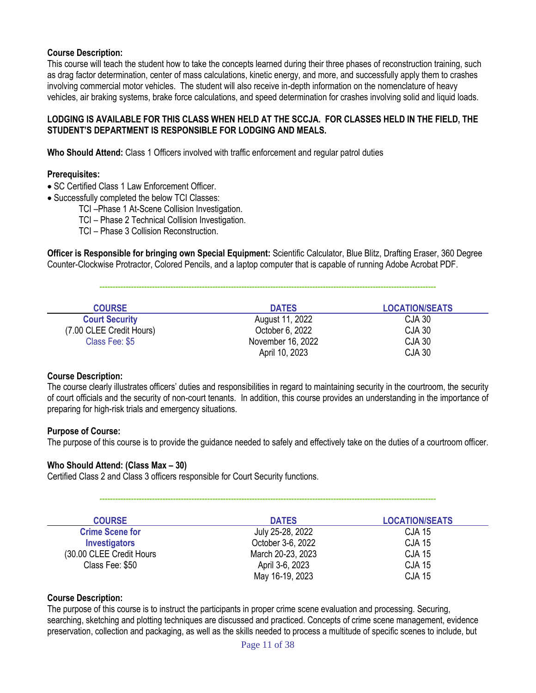This course will teach the student how to take the concepts learned during their three phases of reconstruction training, such as drag factor determination, center of mass calculations, kinetic energy, and more, and successfully apply them to crashes involving commercial motor vehicles. The student will also receive in-depth information on the nomenclature of heavy vehicles, air braking systems, brake force calculations, and speed determination for crashes involving solid and liquid loads.

# **LODGING IS AVAILABLE FOR THIS CLASS WHEN HELD AT THE SCCJA. FOR CLASSES HELD IN THE FIELD, THE STUDENT'S DEPARTMENT IS RESPONSIBLE FOR LODGING AND MEALS.**

**Who Should Attend:** Class 1 Officers involved with traffic enforcement and regular patrol duties

#### **Prerequisites:**

- SC Certified Class 1 Law Enforcement Officer.
- Successfully completed the below TCI Classes:

TCI –Phase 1 At-Scene Collision Investigation.

TCI – Phase 2 Technical Collision Investigation.

TCI – Phase 3 Collision Reconstruction.

**Officer is Responsible for bringing own Special Equipment:** Scientific Calculator, Blue Blitz, Drafting Eraser, 360 Degree Counter-Clockwise Protractor, Colored Pencils, and a laptop computer that is capable of running Adobe Acrobat PDF.

**--------------------------------------------------------------------------------------------------------------------------------**

| <b>COURSE</b>            | <b>DATES</b>      | <b>LOCATION/SEATS</b> |
|--------------------------|-------------------|-----------------------|
| <b>Court Security</b>    | August 11, 2022   | <b>CJA 30</b>         |
| (7.00 CLEE Credit Hours) | October 6, 2022   | <b>CJA 30</b>         |
| Class Fee: \$5           | November 16, 2022 | <b>CJA 30</b>         |
|                          | April 10, 2023    | <b>CJA 30</b>         |

#### **Course Description:**

The course clearly illustrates officers' duties and responsibilities in regard to maintaining security in the courtroom, the security of court officials and the security of non-court tenants. In addition, this course provides an understanding in the importance of preparing for high-risk trials and emergency situations.

#### **Purpose of Course:**

The purpose of this course is to provide the guidance needed to safely and effectively take on the duties of a courtroom officer.

**--------------------------------------------------------------------------------------------------------------------------------**

# **Who Should Attend: (Class Max – 30)**

Certified Class 2 and Class 3 officers responsible for Court Security functions.

| <b>COURSE</b>             | <b>DATES</b>      | <b>LOCATION/SEATS</b> |
|---------------------------|-------------------|-----------------------|
| <b>Crime Scene for</b>    | July 25-28, 2022  | <b>CJA 15</b>         |
| <b>Investigators</b>      | October 3-6, 2022 | <b>CJA 15</b>         |
| (30.00 CLEE Credit Hours) | March 20-23, 2023 | <b>CJA 15</b>         |
| Class Fee: \$50           | April 3-6, 2023   | <b>CJA 15</b>         |
|                           | May 16-19, 2023   | <b>CJA 15</b>         |

# **Course Description:**

The purpose of this course is to instruct the participants in proper crime scene evaluation and processing. Securing, searching, sketching and plotting techniques are discussed and practiced. Concepts of crime scene management, evidence preservation, collection and packaging, as well as the skills needed to process a multitude of specific scenes to include, but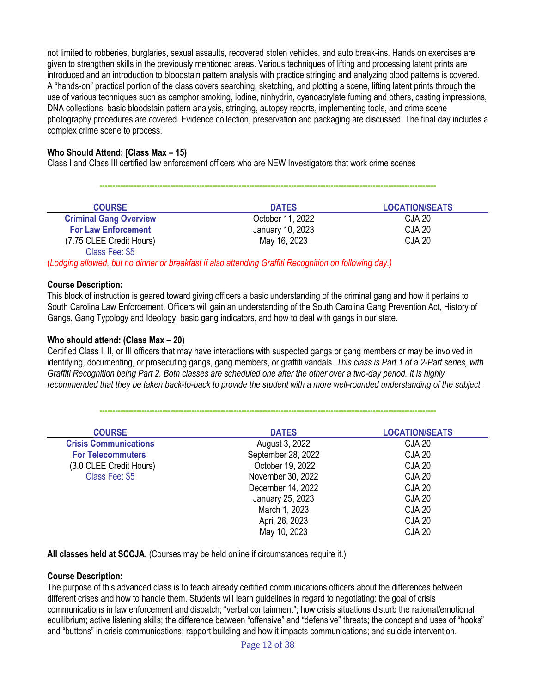not limited to robberies, burglaries, sexual assaults, recovered stolen vehicles, and auto break-ins. Hands on exercises are given to strengthen skills in the previously mentioned areas. Various techniques of lifting and processing latent prints are introduced and an introduction to bloodstain pattern analysis with practice stringing and analyzing blood patterns is covered. A "hands-on" practical portion of the class covers searching, sketching, and plotting a scene, lifting latent prints through the use of various techniques such as camphor smoking, iodine, ninhydrin, cyanoacrylate fuming and others, casting impressions, DNA collections, basic bloodstain pattern analysis, stringing, autopsy reports, implementing tools, and crime scene photography procedures are covered. Evidence collection, preservation and packaging are discussed. The final day includes a complex crime scene to process.

# **Who Should Attend: [Class Max – 15)**

Class I and Class III certified law enforcement officers who are NEW Investigators that work crime scenes

| <b>COURSE</b>                 | <b>DATES</b>     | <b>LOCATION/SEATS</b> |
|-------------------------------|------------------|-----------------------|
| <b>Criminal Gang Overview</b> | October 11, 2022 | CJA 20                |
| <b>For Law Enforcement</b>    | January 10, 2023 | <b>CJA 20</b>         |
| (7.75 CLEE Credit Hours)      | May 16, 2023     | <b>CJA 20</b>         |
| Class Fee: \$5                |                  |                       |

**--------------------------------------------------------------------------------------------------------------------------------**

(*Lodging allowed, but no dinner or breakfast if also attending Graffiti Recognition on following day.)*

#### **Course Description:**

This block of instruction is geared toward giving officers a basic understanding of the criminal gang and how it pertains to South Carolina Law Enforcement. Officers will gain an understanding of the South Carolina Gang Prevention Act, History of Gangs, Gang Typology and Ideology, basic gang indicators, and how to deal with gangs in our state.

## **Who should attend: (Class Max – 20)**

Certified Class I, II, or III officers that may have interactions with suspected gangs or gang members or may be involved in identifying, documenting, or prosecuting gangs, gang members, or graffiti vandals. *This class is Part 1 of a 2-Part series, with Graffiti Recognition being Part 2. Both classes are scheduled one after the other over a two-day period. It is highly recommended that they be taken back-to-back to provide the student with a more well-rounded understanding of the subject.*

**--------------------------------------------------------------------------------------------------------------------------------**

| <b>COURSE</b>                | <b>DATES</b>       | <b>LOCATION/SEATS</b> |
|------------------------------|--------------------|-----------------------|
| <b>Crisis Communications</b> | August 3, 2022     | <b>CJA 20</b>         |
| <b>For Telecommuters</b>     | September 28, 2022 | <b>CJA 20</b>         |
| (3.0 CLEE Credit Hours)      | October 19, 2022   | <b>CJA 20</b>         |
| Class Fee: \$5               | November 30, 2022  | <b>CJA 20</b>         |
|                              | December 14, 2022  | <b>CJA 20</b>         |
|                              | January 25, 2023   | <b>CJA 20</b>         |
|                              | March 1, 2023      | <b>CJA 20</b>         |
|                              | April 26, 2023     | <b>CJA 20</b>         |
|                              | May 10, 2023       | <b>CJA 20</b>         |

**All classes held at SCCJA.** (Courses may be held online if circumstances require it.)

#### **Course Description:**

The purpose of this advanced class is to teach already certified communications officers about the differences between different crises and how to handle them. Students will learn guidelines in regard to negotiating: the goal of crisis communications in law enforcement and dispatch; "verbal containment"; how crisis situations disturb the rational/emotional equilibrium; active listening skills; the difference between "offensive" and "defensive" threats; the concept and uses of "hooks" and "buttons" in crisis communications; rapport building and how it impacts communications; and suicide intervention.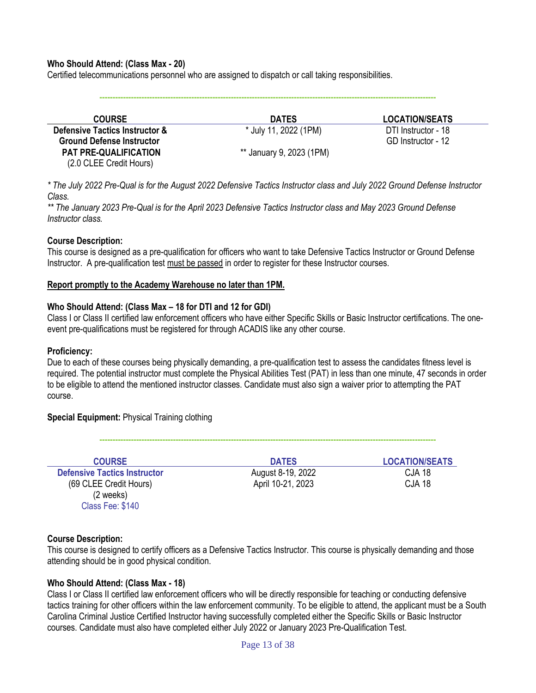#### **Who Should Attend: (Class Max - 20)**

Certified telecommunications personnel who are assigned to dispatch or call taking responsibilities.

**--------------------------------------------------------------------------------------------------------------------------------**

| <b>COURSE</b>                             | <b>DATES</b>             | <b>LOCATION/SEATS</b> |
|-------------------------------------------|--------------------------|-----------------------|
| <b>Defensive Tactics Instructor &amp;</b> | * July 11, 2022 (1PM)    | DTI Instructor - 18   |
| <b>Ground Defense Instructor</b>          |                          | GD Instructor - 12    |
| <b>PAT PRE-QUALIFICATION</b>              | ** January 9, 2023 (1PM) |                       |
| (2.0 CLEE Credit Hours)                   |                          |                       |

*\* The July 2022 Pre-Qual is for the August 2022 Defensive Tactics Instructor class and July 2022 Ground Defense Instructor Class.*

*\*\* The January 2023 Pre-Qual is for the April 2023 Defensive Tactics Instructor class and May 2023 Ground Defense Instructor class.*

#### **Course Description:**

This course is designed as a pre-qualification for officers who want to take Defensive Tactics Instructor or Ground Defense Instructor. A pre-qualification test must be passed in order to register for these Instructor courses.

#### **Report promptly to the Academy Warehouse no later than 1PM.**

#### **Who Should Attend: (Class Max – 18 for DTI and 12 for GDI)**

Class I or Class II certified law enforcement officers who have either Specific Skills or Basic Instructor certifications. The oneevent pre-qualifications must be registered for through ACADIS like any other course.

#### **Proficiency:**

Due to each of these courses being physically demanding, a pre-qualification test to assess the candidates fitness level is required. The potential instructor must complete the Physical Abilities Test (PAT) in less than one minute, 47 seconds in order to be eligible to attend the mentioned instructor classes. Candidate must also sign a waiver prior to attempting the PAT course.

**--------------------------------------------------------------------------------------------------------------------------------**

**Special Equipment:** Physical Training clothing

| <b>COURSE</b>                       | <b>DATES</b>      | <b>LOCATION/SEATS</b> |
|-------------------------------------|-------------------|-----------------------|
| <b>Defensive Tactics Instructor</b> | August 8-19, 2022 | <b>CJA 18</b>         |
| (69 CLEE Credit Hours)              | April 10-21, 2023 | <b>CJA 18</b>         |
| (2 weeks)                           |                   |                       |
| Class Fee: \$140                    |                   |                       |

#### **Course Description:**

This course is designed to certify officers as a Defensive Tactics Instructor. This course is physically demanding and those attending should be in good physical condition.

#### **Who Should Attend: (Class Max - 18)**

Class I or Class II certified law enforcement officers who will be directly responsible for teaching or conducting defensive tactics training for other officers within the law enforcement community. To be eligible to attend, the applicant must be a South Carolina Criminal Justice Certified Instructor having successfully completed either the Specific Skills or Basic Instructor courses. Candidate must also have completed either July 2022 or January 2023 Pre-Qualification Test.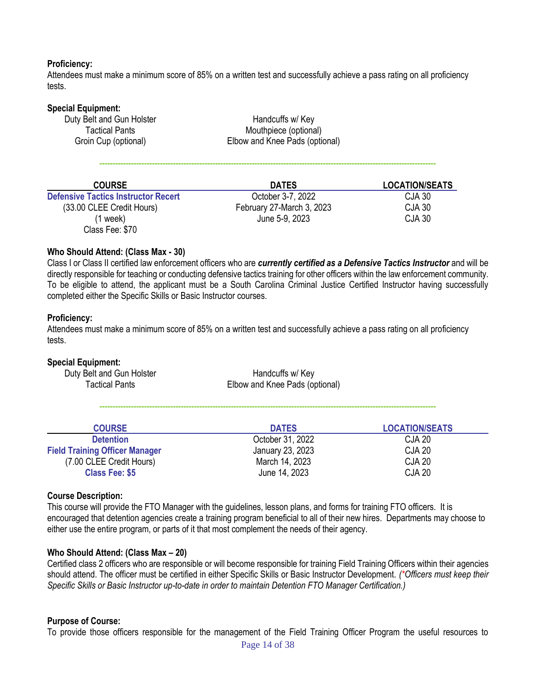### **Proficiency:**

Attendees must make a minimum score of 85% on a written test and successfully achieve a pass rating on all proficiency tests.

| <b>Special Equipment:</b><br>Duty Belt and Gun Holster<br><b>Tactical Pants</b><br>Groin Cup (optional) | Handcuffs w/ Key<br>Mouthpiece (optional)<br>Elbow and Knee Pads (optional) |                       |
|---------------------------------------------------------------------------------------------------------|-----------------------------------------------------------------------------|-----------------------|
| <b>COURSE</b>                                                                                           | <b>DATES</b>                                                                | <b>LOCATION/SEATS</b> |
| <b>Defensive Tactics Instructor Recert</b>                                                              | October 3-7, 2022                                                           | <b>CJA 30</b>         |
| (33.00 CLEE Credit Hours)                                                                               | February 27-March 3, 2023                                                   | CJA 30                |

## **Who Should Attend: (Class Max - 30)**

Class Fee: \$70

Class I or Class II certified law enforcement officers who are *currently certified as a Defensive Tactics Instructor* and will be directly responsible for teaching or conducting defensive tactics training for other officers within the law enforcement community. To be eligible to attend, the applicant must be a South Carolina Criminal Justice Certified Instructor having successfully completed either the Specific Skills or Basic Instructor courses.

(1 week) June 5-9, 2023 CJA 30

#### **Proficiency:**

Attendees must make a minimum score of 85% on a written test and successfully achieve a pass rating on all proficiency tests.

#### **Special Equipment:**

| Duty Belt and Gun Holster | Handcuffs w/ Key               |
|---------------------------|--------------------------------|
| <b>Tactical Pants</b>     | Elbow and Knee Pads (optional) |

| <b>COURSE</b>                         | <b>DATES</b>     | <b>LOCATION/SEATS</b> |
|---------------------------------------|------------------|-----------------------|
| <b>Detention</b>                      | October 31, 2022 | CJA 20                |
| <b>Field Training Officer Manager</b> | January 23, 2023 | <b>CJA 20</b>         |
| (7.00 CLEE Credit Hours)              | March 14, 2023   | <b>CJA 20</b>         |
| <b>Class Fee: \$5</b>                 | June 14, 2023    | <b>CJA 20</b>         |

**--------------------------------------------------------------------------------------------------------------------------------**

#### **Course Description:**

This course will provide the FTO Manager with the guidelines, lesson plans, and forms for training FTO officers. It is encouraged that detention agencies create a training program beneficial to all of their new hires. Departments may choose to either use the entire program, or parts of it that most complement the needs of their agency.

#### **Who Should Attend: (Class Max – 20)**

Certified class 2 officers who are responsible or will become responsible for training Field Training Officers within their agencies should attend. The officer must be certified in either Specific Skills or Basic Instructor Development. *(\*Officers must keep their Specific Skills or Basic Instructor up-to-date in order to maintain Detention FTO Manager Certification.)*

#### **Purpose of Course:**

To provide those officers responsible for the management of the Field Training Officer Program the useful resources to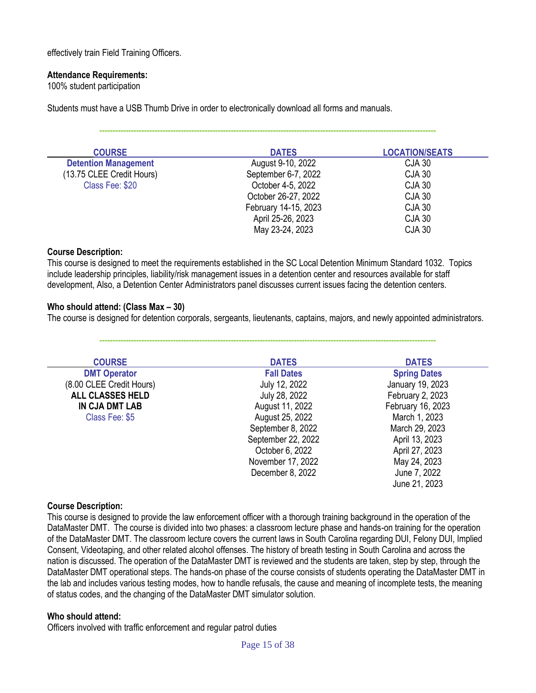effectively train Field Training Officers.

### **Attendance Requirements:**

100% student participation

Students must have a USB Thumb Drive in order to electronically download all forms and manuals.

**--------------------------------------------------------------------------------------------------------------------------------**

| <b>COURSE</b>               | <b>DATES</b>         | <b>LOCATION/SEATS</b> |
|-----------------------------|----------------------|-----------------------|
| <b>Detention Management</b> | August 9-10, 2022    | CJA 30                |
| (13.75 CLEE Credit Hours)   | September 6-7, 2022  | <b>CJA 30</b>         |
| Class Fee: \$20             | October 4-5, 2022    | <b>CJA 30</b>         |
|                             | October 26-27, 2022  | <b>CJA 30</b>         |
|                             | February 14-15, 2023 | <b>CJA 30</b>         |
|                             | April 25-26, 2023    | <b>CJA 30</b>         |
|                             | May 23-24, 2023      | <b>CJA 30</b>         |

#### **Course Description:**

This course is designed to meet the requirements established in the SC Local Detention Minimum Standard 1032. Topics include leadership principles, liability/risk management issues in a detention center and resources available for staff development, Also, a Detention Center Administrators panel discusses current issues facing the detention centers.

## **Who should attend: (Class Max – 30)**

The course is designed for detention corporals, sergeants, lieutenants, captains, majors, and newly appointed administrators.

**--------------------------------------------------------------------------------------------------------------------------------**

| <b>COURSE</b>            | <b>DATES</b>       | <b>DATES</b>        |
|--------------------------|--------------------|---------------------|
| <b>DMT Operator</b>      | <b>Fall Dates</b>  | <b>Spring Dates</b> |
| (8.00 CLEE Credit Hours) | July 12, 2022      | January 19, 2023    |
| <b>ALL CLASSES HELD</b>  | July 28, 2022      | February 2, 2023    |
| IN CJA DMT LAB           | August 11, 2022    | February 16, 2023   |
| Class Fee: \$5           | August 25, 2022    | March 1, 2023       |
|                          | September 8, 2022  | March 29, 2023      |
|                          | September 22, 2022 | April 13, 2023      |
|                          | October 6, 2022    | April 27, 2023      |
|                          | November 17, 2022  | May 24, 2023        |
|                          | December 8, 2022   | June 7, 2022        |
|                          |                    | June 21, 2023       |

#### **Course Description:**

This course is designed to provide the law enforcement officer with a thorough training background in the operation of the DataMaster DMT. The course is divided into two phases: a classroom lecture phase and hands-on training for the operation of the DataMaster DMT. The classroom lecture covers the current laws in South Carolina regarding DUI, Felony DUI, Implied Consent, Videotaping, and other related alcohol offenses. The history of breath testing in South Carolina and across the nation is discussed. The operation of the DataMaster DMT is reviewed and the students are taken, step by step, through the DataMaster DMT operational steps. The hands-on phase of the course consists of students operating the DataMaster DMT in the lab and includes various testing modes, how to handle refusals, the cause and meaning of incomplete tests, the meaning of status codes, and the changing of the DataMaster DMT simulator solution.

#### **Who should attend:**

Officers involved with traffic enforcement and regular patrol duties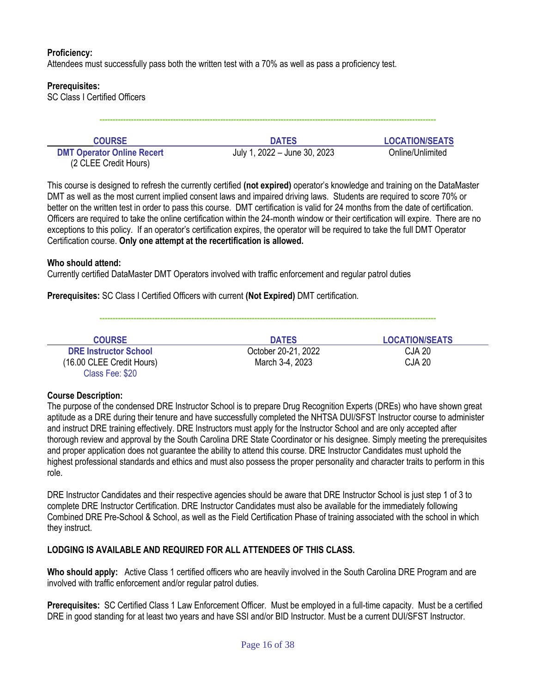# **Proficiency:**

Attendees must successfully pass both the written test with a 70% as well as pass a proficiency test.

### **Prerequisites:**

SC Class I Certified Officers

| <b>COURSE</b>                                              | <b>DATES</b>                 | <b>LOCATION/SEATS</b> |
|------------------------------------------------------------|------------------------------|-----------------------|
| <b>DMT Operator Online Recert</b><br>(2 CLEE Credit Hours) | July 1, 2022 – June 30, 2023 | Online/Unlimited      |

**--------------------------------------------------------------------------------------------------------------------------------**

This course is designed to refresh the currently certified **(not expired)** operator's knowledge and training on the DataMaster DMT as well as the most current implied consent laws and impaired driving laws. Students are required to score 70% or better on the written test in order to pass this course. DMT certification is valid for 24 months from the date of certification. Officers are required to take the online certification within the 24-month window or their certification will expire. There are no exceptions to this policy. If an operator's certification expires, the operator will be required to take the full DMT Operator Certification course. **Only one attempt at the recertification is allowed.**

#### **Who should attend:**

Currently certified DataMaster DMT Operators involved with traffic enforcement and regular patrol duties

**Prerequisites:** SC Class I Certified Officers with current **(Not Expired)** DMT certification.

| <b>COURSE</b>                | <b>DATES</b>        | <b>LOCATION/SEATS</b> |
|------------------------------|---------------------|-----------------------|
| <b>DRE Instructor School</b> | October 20-21, 2022 | <b>CJA 20</b>         |
| (16.00 CLEE Credit Hours)    | March 3-4, 2023     | <b>CJA 20</b>         |
| Class Fee: \$20              |                     |                       |

**--------------------------------------------------------------------------------------------------------------------------------**

#### **Course Description:**

The purpose of the condensed DRE Instructor School is to prepare Drug Recognition Experts (DREs) who have shown great aptitude as a DRE during their tenure and have successfully completed the NHTSA DUI/SFST Instructor course to administer and instruct DRE training effectively. DRE Instructors must apply for the Instructor School and are only accepted after thorough review and approval by the South Carolina DRE State Coordinator or his designee. Simply meeting the prerequisites and proper application does not guarantee the ability to attend this course. DRE Instructor Candidates must uphold the highest professional standards and ethics and must also possess the proper personality and character traits to perform in this role.

DRE Instructor Candidates and their respective agencies should be aware that DRE Instructor School is just step 1 of 3 to complete DRE Instructor Certification. DRE Instructor Candidates must also be available for the immediately following Combined DRE Pre-School & School, as well as the Field Certification Phase of training associated with the school in which they instruct.

#### **LODGING IS AVAILABLE AND REQUIRED FOR ALL ATTENDEES OF THIS CLASS.**

**Who should apply:** Active Class 1 certified officers who are heavily involved in the South Carolina DRE Program and are involved with traffic enforcement and/or regular patrol duties.

**Prerequisites:** SC Certified Class 1 Law Enforcement Officer. Must be employed in a full-time capacity. Must be a certified DRE in good standing for at least two years and have SSI and/or BID Instructor. Must be a current DUI/SFST Instructor.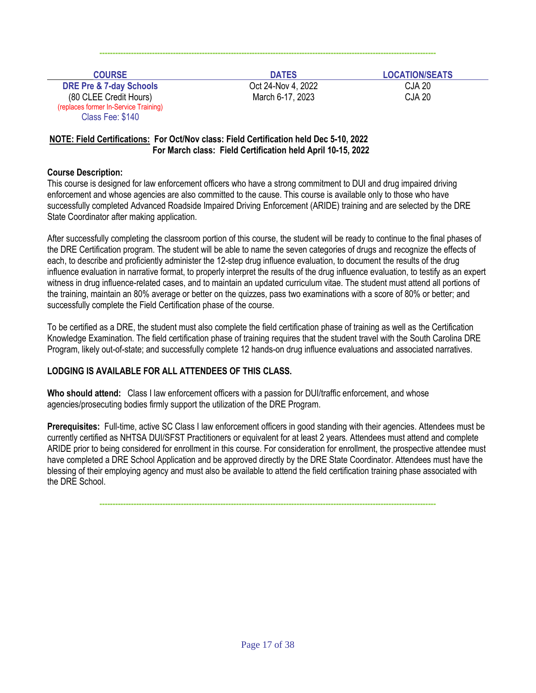| <b>COURSE</b>                                                                                                             | <b>DATES</b>                           | <b>LOCATION/SEATS</b>          |
|---------------------------------------------------------------------------------------------------------------------------|----------------------------------------|--------------------------------|
| <b>DRE Pre &amp; 7-day Schools</b><br>(80 CLEE Credit Hours)<br>(replaces former In-Service Training)<br>Class Fee: \$140 | Oct 24-Nov 4, 2022<br>March 6-17, 2023 | <b>CJA 20</b><br><b>CJA 20</b> |

# **NOTE: Field Certifications: For Oct/Nov class: Field Certification held Dec 5-10, 2022 For March class: Field Certification held April 10-15, 2022**

# **Course Description:**

This course is designed for law enforcement officers who have a strong commitment to DUI and drug impaired driving enforcement and whose agencies are also committed to the cause. This course is available only to those who have successfully completed Advanced Roadside Impaired Driving Enforcement (ARIDE) training and are selected by the DRE State Coordinator after making application.

After successfully completing the classroom portion of this course, the student will be ready to continue to the final phases of the DRE Certification program. The student will be able to name the seven categories of drugs and recognize the effects of each, to describe and proficiently administer the 12-step drug influence evaluation, to document the results of the drug influence evaluation in narrative format, to properly interpret the results of the drug influence evaluation, to testify as an expert witness in drug influence-related cases, and to maintain an updated curriculum vitae. The student must attend all portions of the training, maintain an 80% average or better on the quizzes, pass two examinations with a score of 80% or better; and successfully complete the Field Certification phase of the course.

To be certified as a DRE, the student must also complete the field certification phase of training as well as the Certification Knowledge Examination. The field certification phase of training requires that the student travel with the South Carolina DRE Program, likely out-of-state; and successfully complete 12 hands-on drug influence evaluations and associated narratives.

# **LODGING IS AVAILABLE FOR ALL ATTENDEES OF THIS CLASS.**

**Who should attend:** Class I law enforcement officers with a passion for DUI/traffic enforcement, and whose agencies/prosecuting bodies firmly support the utilization of the DRE Program.

**Prerequisites:** Full-time, active SC Class I law enforcement officers in good standing with their agencies. Attendees must be currently certified as NHTSA DUI/SFST Practitioners or equivalent for at least 2 years. Attendees must attend and complete ARIDE prior to being considered for enrollment in this course. For consideration for enrollment, the prospective attendee must have completed a DRE School Application and be approved directly by the DRE State Coordinator. Attendees must have the blessing of their employing agency and must also be available to attend the field certification training phase associated with the DRE School.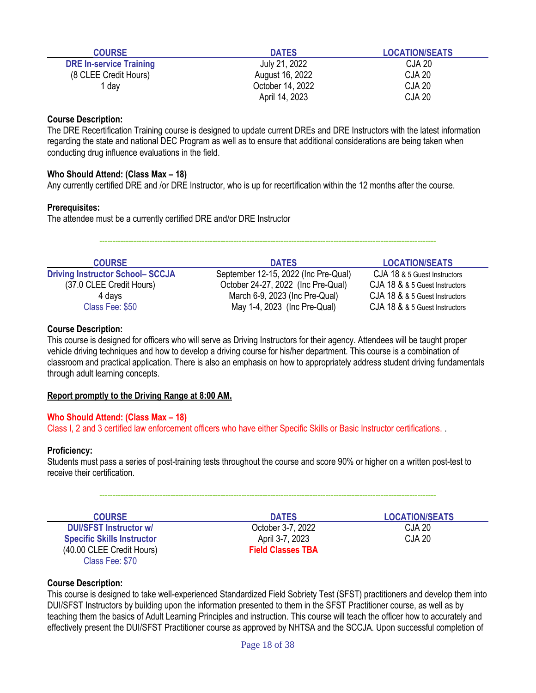| <b>COURSE</b>                  | <b>DATES</b>     | <b>LOCATION/SEATS</b> |
|--------------------------------|------------------|-----------------------|
| <b>DRE In-service Training</b> | July 21, 2022    | <b>CJA 20</b>         |
| (8 CLEE Credit Hours)          | August 16, 2022  | <b>CJA 20</b>         |
| l dav                          | October 14, 2022 | <b>CJA 20</b>         |
|                                | April 14, 2023   | <b>CJA 20</b>         |

The DRE Recertification Training course is designed to update current DREs and DRE Instructors with the latest information regarding the state and national DEC Program as well as to ensure that additional considerations are being taken when conducting drug influence evaluations in the field.

# **Who Should Attend: (Class Max – 18)**

Any currently certified DRE and /or DRE Instructor, who is up for recertification within the 12 months after the course.

#### **Prerequisites:**

The attendee must be a currently certified DRE and/or DRE Instructor

**--------------------------------------------------------------------------------------------------------------------------------**

| <b>COURSE</b>                          | <b>DATES</b>                         | <b>LOCATION/SEATS</b>          |
|----------------------------------------|--------------------------------------|--------------------------------|
| <b>Driving Instructor School-SCCJA</b> | September 12-15, 2022 (Inc Pre-Qual) | CJA 18 & 5 Guest Instructors   |
| (37.0 CLEE Credit Hours)               | October 24-27, 2022 (Inc Pre-Qual)   | CJA 18 & & 5 Guest Instructors |
| 4 days                                 | March 6-9, 2023 (Inc Pre-Qual)       | CJA 18 & & 5 Guest Instructors |
| Class Fee: \$50                        | May 1-4, 2023 (Inc Pre-Qual)         | CJA 18 & & 5 Guest Instructors |

#### **Course Description:**

This course is designed for officers who will serve as Driving Instructors for their agency. Attendees will be taught proper vehicle driving techniques and how to develop a driving course for his/her department. This course is a combination of classroom and practical application. There is also an emphasis on how to appropriately address student driving fundamentals through adult learning concepts.

#### **Report promptly to the Driving Range at 8:00 AM.**

#### **Who Should Attend: (Class Max – 18)**

Class I, 2 and 3 certified law enforcement officers who have either Specific Skills or Basic Instructor certifications. .

#### **Proficiency:**

Students must pass a series of post-training tests throughout the course and score 90% or higher on a written post-test to receive their certification.

| <b>COURSE</b>                     | <b>DATES</b>             | <b>LOCATION/SEATS</b> |
|-----------------------------------|--------------------------|-----------------------|
| <b>DUI/SFST Instructor w/</b>     | October 3-7, 2022        | CJA 20                |
| <b>Specific Skills Instructor</b> | April 3-7, 2023          | <b>CJA 20</b>         |
| (40.00 CLEE Credit Hours)         | <b>Field Classes TBA</b> |                       |
| Class Fee: \$70                   |                          |                       |

#### **Course Description:**

This course is designed to take well-experienced Standardized Field Sobriety Test (SFST) practitioners and develop them into DUI/SFST Instructors by building upon the information presented to them in the SFST Practitioner course, as well as by teaching them the basics of Adult Learning Principles and instruction. This course will teach the officer how to accurately and effectively present the DUI/SFST Practitioner course as approved by NHTSA and the SCCJA. Upon successful completion of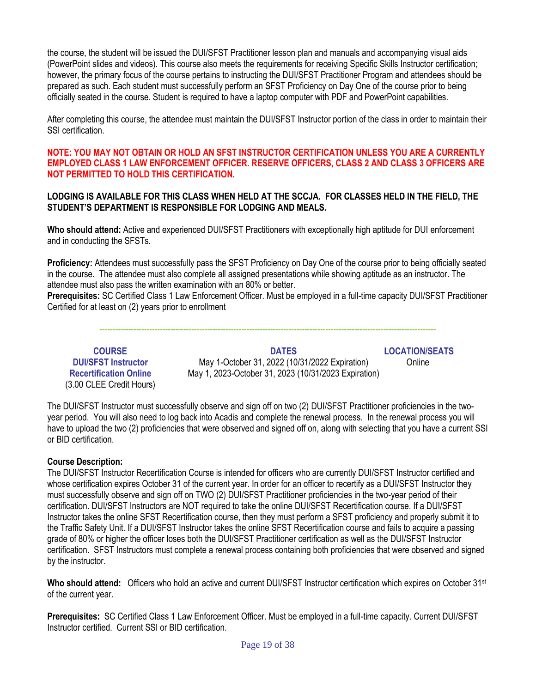the course, the student will be issued the DUI/SFST Practitioner lesson plan and manuals and accompanying visual aids (PowerPoint slides and videos). This course also meets the requirements for receiving Specific Skills Instructor certification; however, the primary focus of the course pertains to instructing the DUI/SFST Practitioner Program and attendees should be prepared as such. Each student must successfully perform an SFST Proficiency on Day One of the course prior to being officially seated in the course. Student is required to have a laptop computer with PDF and PowerPoint capabilities.

After completing this course, the attendee must maintain the DUI/SFST Instructor portion of the class in order to maintain their SSI certification.

**NOTE: YOU MAY NOT OBTAIN OR HOLD AN SFST INSTRUCTOR CERTIFICATION UNLESS YOU ARE A CURRENTLY EMPLOYED CLASS 1 LAW ENFORCEMENT OFFICER. RESERVE OFFICERS, CLASS 2 AND CLASS 3 OFFICERS ARE NOT PERMITTED TO HOLD THIS CERTIFICATION.**

#### **LODGING IS AVAILABLE FOR THIS CLASS WHEN HELD AT THE SCCJA. FOR CLASSES HELD IN THE FIELD, THE STUDENT'S DEPARTMENT IS RESPONSIBLE FOR LODGING AND MEALS.**

**Who should attend:** Active and experienced DUI/SFST Practitioners with exceptionally high aptitude for DUI enforcement and in conducting the SFSTs.

**Proficiency:** Attendees must successfully pass the SFST Proficiency on Day One of the course prior to being officially seated in the course. The attendee must also complete all assigned presentations while showing aptitude as an instructor. The attendee must also pass the written examination with an 80% or better.

**Prerequisites:** SC Certified Class 1 Law Enforcement Officer. Must be employed in a full-time capacity DUI/SFST Practitioner Certified for at least on (2) years prior to enrollment

**--------------------------------------------------------------------------------------------------------------------------------**

| <b>COURSE</b>                                               | <b>DATES</b>                                                                                           | <b>LOCATION/SEATS</b> |
|-------------------------------------------------------------|--------------------------------------------------------------------------------------------------------|-----------------------|
| <b>DUI/SFST Instructor</b><br><b>Recertification Online</b> | May 1-October 31, 2022 (10/31/2022 Expiration)<br>May 1, 2023-October 31, 2023 (10/31/2023 Expiration) | Online                |
| (3.00 CLEE Credit Hours)                                    |                                                                                                        |                       |

The DUI/SFST Instructor must successfully observe and sign off on two (2) DUI/SFST Practitioner proficiencies in the twoyear period. You will also need to log back into Acadis and complete the renewal process. In the renewal process you will have to upload the two (2) proficiencies that were observed and signed off on, along with selecting that you have a current SSI or BID certification.

# **Course Description:**

The DUI/SFST Instructor Recertification Course is intended for officers who are currently DUI/SFST Instructor certified and whose certification expires October 31 of the current year. In order for an officer to recertify as a DUI/SFST Instructor they must successfully observe and sign off on TWO (2) DUI/SFST Practitioner proficiencies in the two-year period of their certification. DUI/SFST Instructors are NOT required to take the online DUI/SFST Recertification course. If a DUI/SFST Instructor takes the online SFST Recertification course, then they must perform a SFST proficiency and properly submit it to the Traffic Safety Unit. If a DUI/SFST Instructor takes the online SFST Recertification course and fails to acquire a passing grade of 80% or higher the officer loses both the DUI/SFST Practitioner certification as well as the DUI/SFST Instructor certification. SFST Instructors must complete a renewal process containing both proficiencies that were observed and signed by the instructor.

**Who should attend:** Officers who hold an active and current DUI/SFST Instructor certification which expires on October 31st of the current year.

**Prerequisites:** SC Certified Class 1 Law Enforcement Officer. Must be employed in a full-time capacity. Current DUI/SFST Instructor certified. Current SSI or BID certification.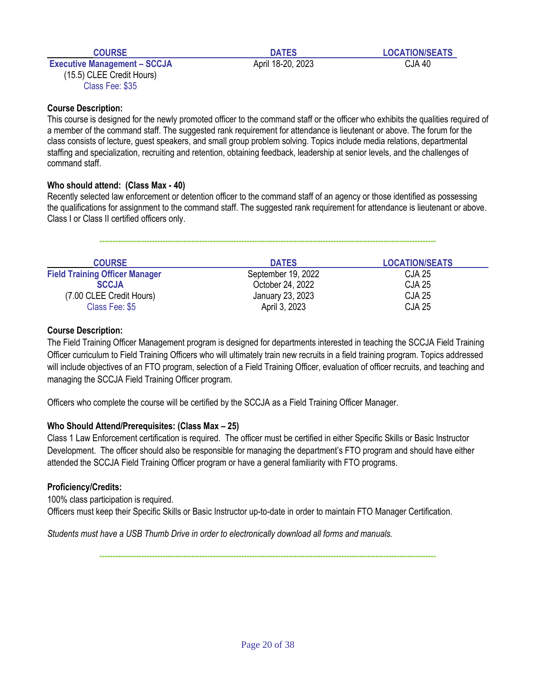**Executive Management – SCCJA** April 18-20, 2023 CJA 40 (15.5) CLEE Credit Hours) Class Fee: \$35

**COURSE DATES LOCATION/SEATS**

**Course Description:**

This course is designed for the newly promoted officer to the command staff or the officer who exhibits the qualities required of a member of the command staff. The suggested rank requirement for attendance is lieutenant or above. The forum for the class consists of lecture, guest speakers, and small group problem solving. Topics include media relations, departmental staffing and specialization, recruiting and retention, obtaining feedback, leadership at senior levels, and the challenges of command staff.

# **Who should attend: (Class Max - 40)**

Recently selected law enforcement or detention officer to the command staff of an agency or those identified as possessing the qualifications for assignment to the command staff. The suggested rank requirement for attendance is lieutenant or above. Class I or Class II certified officers only.

**--------------------------------------------------------------------------------------------------------------------------------**

| <b>COURSE</b>                         | <b>DATES</b>       | <b>LOCATION/SEATS</b> |
|---------------------------------------|--------------------|-----------------------|
| <b>Field Training Officer Manager</b> | September 19, 2022 | <b>CJA 25</b>         |
| <b>SCCJA</b>                          | October 24, 2022   | <b>CJA 25</b>         |
| (7.00 CLEE Credit Hours)              | January 23, 2023   | <b>CJA 25</b>         |
| Class Fee: \$5                        | April 3, 2023      | <b>CJA 25</b>         |

# **Course Description:**

The Field Training Officer Management program is designed for departments interested in teaching the SCCJA Field Training Officer curriculum to Field Training Officers who will ultimately train new recruits in a field training program. Topics addressed will include objectives of an FTO program, selection of a Field Training Officer, evaluation of officer recruits, and teaching and managing the SCCJA Field Training Officer program.

Officers who complete the course will be certified by the SCCJA as a Field Training Officer Manager.

# **Who Should Attend/Prerequisites: (Class Max – 25)**

Class 1 Law Enforcement certification is required. The officer must be certified in either Specific Skills or Basic Instructor Development. The officer should also be responsible for managing the department's FTO program and should have either attended the SCCJA Field Training Officer program or have a general familiarity with FTO programs.

# **Proficiency/Credits:**

100% class participation is required. Officers must keep their Specific Skills or Basic Instructor up-to-date in order to maintain FTO Manager Certification.

*Students must have a USB Thumb Drive in order to electronically download all forms and manuals.*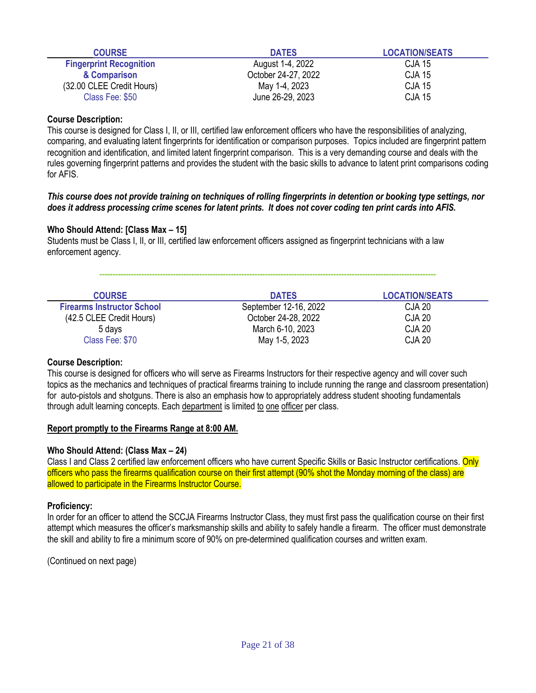| <b>COURSE</b>                  | <b>DATES</b>        | <b>LOCATION/SEATS</b> |
|--------------------------------|---------------------|-----------------------|
| <b>Fingerprint Recognition</b> | August 1-4, 2022    | <b>CJA 15</b>         |
| & Comparison                   | October 24-27, 2022 | <b>CJA 15</b>         |
| (32.00 CLEE Credit Hours)      | May 1-4, 2023       | <b>CJA 15</b>         |
| Class Fee: \$50                | June 26-29, 2023    | <b>CJA 15</b>         |

This course is designed for Class I, II, or III, certified law enforcement officers who have the responsibilities of analyzing, comparing, and evaluating latent fingerprints for identification or comparison purposes. Topics included are fingerprint pattern recognition and identification, and limited latent fingerprint comparison. This is a very demanding course and deals with the rules governing fingerprint patterns and provides the student with the basic skills to advance to latent print comparisons coding for AFIS.

#### *This course does not provide training on techniques of rolling fingerprints in detention or booking type settings, nor does it address processing crime scenes for latent prints. It does not cover coding ten print cards into AFIS.*

# **Who Should Attend: [Class Max – 15]**

Students must be Class I, II, or III, certified law enforcement officers assigned as fingerprint technicians with a law enforcement agency.

| <b>COURSE</b>                     | <b>DATES</b>          | <b>LOCATION/SEATS</b> |
|-----------------------------------|-----------------------|-----------------------|
| <b>Firearms Instructor School</b> | September 12-16, 2022 | CJA 20                |
| (42.5 CLEE Credit Hours)          | October 24-28, 2022   | <b>CJA 20</b>         |
| 5 days                            | March 6-10, 2023      | <b>CJA 20</b>         |
| Class Fee: \$70                   | May 1-5, 2023         | <b>CJA 20</b>         |

**--------------------------------------------------------------------------------------------------------------------------------**

#### **Course Description:**

This course is designed for officers who will serve as Firearms Instructors for their respective agency and will cover such topics as the mechanics and techniques of practical firearms training to include running the range and classroom presentation) for auto-pistols and shotguns. There is also an emphasis how to appropriately address student shooting fundamentals through adult learning concepts. Each department is limited to one officer per class.

#### **Report promptly to the Firearms Range at 8:00 AM.**

#### **Who Should Attend: (Class Max – 24)**

Class I and Class 2 certified law enforcement officers who have current Specific Skills or Basic Instructor certifications. Only officers who pass the firearms qualification course on their first attempt (90% shot the Monday morning of the class) are allowed to participate in the Firearms Instructor Course.

# **Proficiency:**

In order for an officer to attend the SCCJA Firearms Instructor Class, they must first pass the qualification course on their first attempt which measures the officer's marksmanship skills and ability to safely handle a firearm. The officer must demonstrate the skill and ability to fire a minimum score of 90% on pre-determined qualification courses and written exam.

(Continued on next page)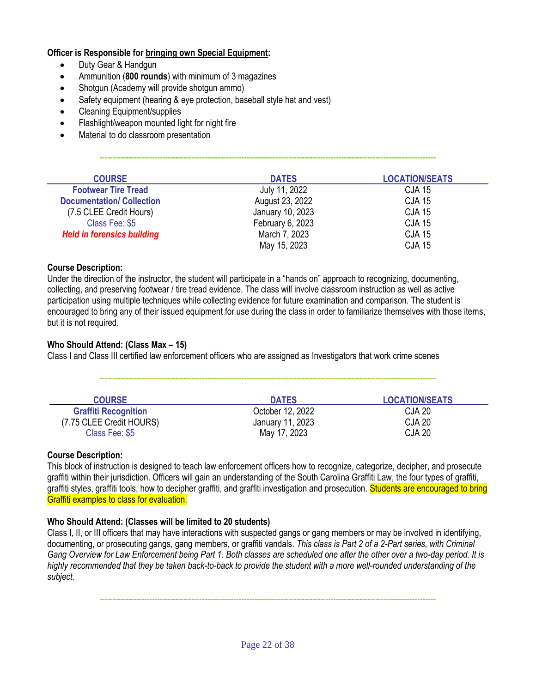# **Officer is Responsible for bringing own Special Equipment:**

- Duty Gear & Handgun
- Ammunition (**800 rounds**) with minimum of 3 magazines
- Shotgun (Academy will provide shotgun ammo)
- Safety equipment (hearing & eye protection, baseball style hat and vest)
- Cleaning Equipment/supplies
- Flashlight/weapon mounted light for night fire
- Material to do classroom presentation

| <b>COURSE</b>                     | <b>DATES</b>     | <b>LOCATION/SEATS</b> |
|-----------------------------------|------------------|-----------------------|
| <b>Footwear Tire Tread</b>        | July 11, 2022    | <b>CJA 15</b>         |
| <b>Documentation/ Collection</b>  | August 23, 2022  | <b>CJA 15</b>         |
| (7.5 CLEE Credit Hours)           | January 10, 2023 | <b>CJA 15</b>         |
| Class Fee: \$5                    | February 6, 2023 | <b>CJA 15</b>         |
| <b>Held in forensics building</b> | March 7, 2023    | <b>CJA 15</b>         |
|                                   | May 15, 2023     | <b>CJA 15</b>         |

**--------------------------------------------------------------------------------------------------------------------------------**

# **Course Description:**

Under the direction of the instructor, the student will participate in a "hands on" approach to recognizing, documenting, collecting, and preserving footwear / tire tread evidence. The class will involve classroom instruction as well as active participation using multiple techniques while collecting evidence for future examination and comparison. The student is encouraged to bring any of their issued equipment for use during the class in order to familiarize themselves with those items, but it is not required.

# **Who Should Attend: (Class Max – 15)**

Class I and Class III certified law enforcement officers who are assigned as Investigators that work crime scenes

| <b>COURSE</b>               | <b>DATES</b>     | <b>LOCATION/SEATS</b> |
|-----------------------------|------------------|-----------------------|
| <b>Graffiti Recognition</b> | October 12, 2022 | CJA 20                |
| (7.75 CLEE Credit HOURS)    | January 11, 2023 | <b>CJA 20</b>         |
| Class Fee: \$5              | May 17, 2023     | <b>CJA 20</b>         |

**--------------------------------------------------------------------------------------------------------------------------------**

# **Course Description:**

This block of instruction is designed to teach law enforcement officers how to recognize, categorize, decipher, and prosecute graffiti within their jurisdiction. Officers will gain an understanding of the South Carolina Graffiti Law, the four types of graffiti, graffiti styles, graffiti tools, how to decipher graffiti, and graffiti investigation and prosecution. Students are encouraged to bring Graffiti examples to class for evaluation.

# **Who Should Attend: (Classes will be limited to 20 students)**

Class I, II, or III officers that may have interactions with suspected gangs or gang members or may be involved in identifying, documenting, or prosecuting gangs, gang members, or graffiti vandals. *This class is Part 2 of a 2-Part series, with Criminal Gang Overview for Law Enforcement being Part 1. Both classes are scheduled one after the other over a two-day period. It is highly recommended that they be taken back-to-back to provide the student with a more well-rounded understanding of the subject.*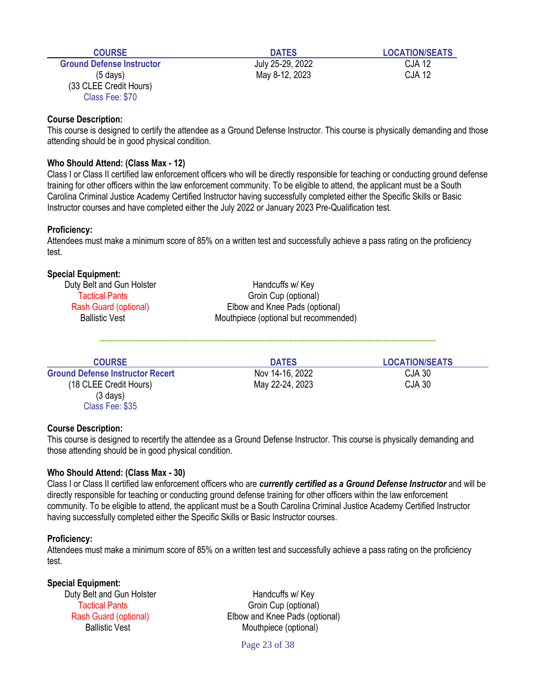| <b>COURSE</b>                                                   | <b>DATES</b>     | <b>LOCATION/SEATS</b> |
|-----------------------------------------------------------------|------------------|-----------------------|
| <b>Ground Defense Instructor</b>                                | July 25-29, 2022 | <b>CJA 12</b>         |
| $(5 \text{ days})$<br>(33 CLEE Credit Hours)<br>Class Fee: \$70 | May 8-12, 2023   | <b>CJA 12</b>         |

This course is designed to certify the attendee as a Ground Defense Instructor. This course is physically demanding and those attending should be in good physical condition.

#### **Who Should Attend: (Class Max - 12)**

Class I or Class II certified law enforcement officers who will be directly responsible for teaching or conducting ground defense training for other officers within the law enforcement community. To be eligible to attend, the applicant must be a South Carolina Criminal Justice Academy Certified Instructor having successfully completed either the Specific Skills or Basic Instructor courses and have completed either the July 2022 or January 2023 Pre-Qualification test.

#### **Proficiency:**

Attendees must make a minimum score of 85% on a written test and successfully achieve a pass rating on the proficiency test.

### **Special Equipment:**

| Duty Belt and Gun Holster | Handcuffs w/ Key                      |
|---------------------------|---------------------------------------|
| Tactical Pants            | Groin Cup (optional)                  |
| Rash Guard (optional)     | Elbow and Knee Pads (optional)        |
| <b>Ballistic Vest</b>     | Mouthpiece (optional but recommended) |
|                           |                                       |

| <b>COURSE</b>                           | <b>DATES</b>    | <b>LOCATION/SEATS</b> |
|-----------------------------------------|-----------------|-----------------------|
| <b>Ground Defense Instructor Recert</b> | Nov 14-16, 2022 | CJA 30                |
| (18 CLEE Credit Hours)                  | May 22-24, 2023 | CJA 30                |
| $(3 \text{ days})$                      |                 |                       |
| Class Fee: \$35                         |                 |                       |

**--------------------------------------------------------------------------------------------------------------------------------**

#### **Course Description:**

This course is designed to recertify the attendee as a Ground Defense Instructor. This course is physically demanding and those attending should be in good physical condition.

#### **Who Should Attend: (Class Max - 30)**

Class I or Class II certified law enforcement officers who are *currently certified as a Ground Defense Instructor* and will be directly responsible for teaching or conducting ground defense training for other officers within the law enforcement community. To be eligible to attend, the applicant must be a South Carolina Criminal Justice Academy Certified Instructor having successfully completed either the Specific Skills or Basic Instructor courses.

#### **Proficiency:**

Attendees must make a minimum score of 85% on a written test and successfully achieve a pass rating on the proficiency test.

#### **Special Equipment:**

Duty Belt and Gun Holster **Handcuffs** w/ Key

Tactical Pants Groin Cup (optional) Rash Guard (optional) Elbow and Knee Pads (optional) Ballistic Vest Mouthpiece (optional)

Page 23 of 38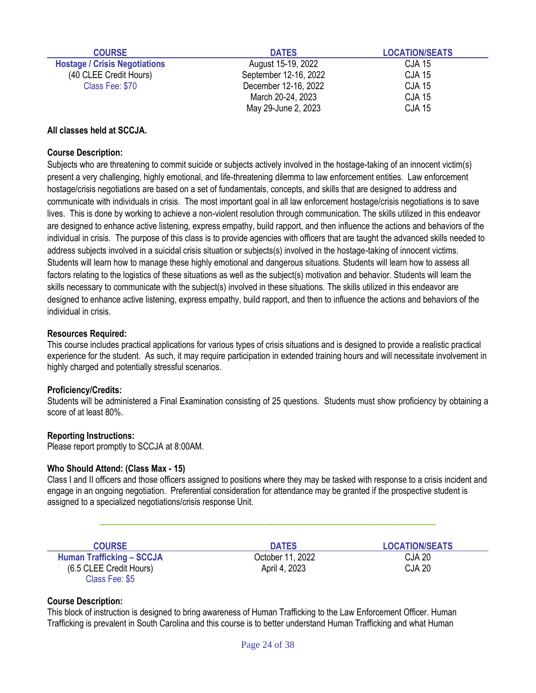| <b>COURSE</b>                        | <b>DATES</b>          | <b>LOCATION/SEATS</b> |
|--------------------------------------|-----------------------|-----------------------|
| <b>Hostage / Crisis Negotiations</b> | August 15-19, 2022    | <b>CJA 15</b>         |
| (40 CLEE Credit Hours)               | September 12-16, 2022 | <b>CJA 15</b>         |
| Class Fee: \$70                      | December 12-16, 2022  | <b>CJA 15</b>         |
|                                      | March 20-24, 2023     | <b>CJA 15</b>         |
|                                      | May 29-June 2, 2023   | <b>CJA 15</b>         |

# **All classes held at SCCJA.**

# **Course Description:**

Subjects who are threatening to commit suicide or subjects actively involved in the hostage-taking of an innocent victim(s) present a very challenging, highly emotional, and life-threatening dilemma to law enforcement entities. Law enforcement hostage/crisis negotiations are based on a set of fundamentals, concepts, and skills that are designed to address and communicate with individuals in crisis. The most important goal in all law enforcement hostage/crisis negotiations is to save lives. This is done by working to achieve a non-violent resolution through communication. The skills utilized in this endeavor are designed to enhance active listening, express empathy, build rapport, and then influence the actions and behaviors of the individual in crisis. The purpose of this class is to provide agencies with officers that are taught the advanced skills needed to address subjects involved in a suicidal crisis situation or subjects(s) involved in the hostage-taking of innocent victims. Students will learn how to manage these highly emotional and dangerous situations. Students will learn how to assess all factors relating to the logistics of these situations as well as the subject(s) motivation and behavior. Students will learn the skills necessary to communicate with the subject(s) involved in these situations. The skills utilized in this endeavor are designed to enhance active listening, express empathy, build rapport, and then to influence the actions and behaviors of the individual in crisis.

#### **Resources Required:**

This course includes practical applications for various types of crisis situations and is designed to provide a realistic practical experience for the student. As such, it may require participation in extended training hours and will necessitate involvement in highly charged and potentially stressful scenarios.

#### **Proficiency/Credits:**

Students will be administered a Final Examination consisting of 25 questions. Students must show proficiency by obtaining a score of at least 80%.

#### **Reporting Instructions:**

Please report promptly to SCCJA at 8:00AM.

#### **Who Should Attend: (Class Max - 15)**

Class I and II officers and those officers assigned to positions where they may be tasked with response to a crisis incident and engage in an ongoing negotiation. Preferential consideration for attendance may be granted if the prospective student is assigned to a specialized negotiations/crisis response Unit.

**--------------------------------------------------------------------------------------------------------------------------------**

| <b>COURSE</b>                    | <b>DATES</b>     | <b>LOCATION/SEATS</b> |
|----------------------------------|------------------|-----------------------|
| <b>Human Trafficking - SCCJA</b> | October 11, 2022 | <b>CJA 20</b>         |
| (6.5 CLEE Credit Hours)          | April 4, 2023    | <b>CJA 20</b>         |
| Class Fee: \$5                   |                  |                       |

## **Course Description:**

This block of instruction is designed to bring awareness of Human Trafficking to the Law Enforcement Officer. Human Trafficking is prevalent in South Carolina and this course is to better understand Human Trafficking and what Human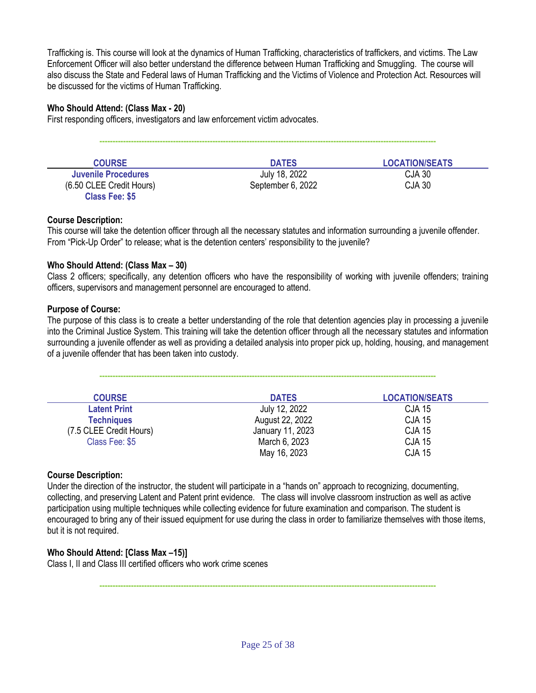Trafficking is. This course will look at the dynamics of Human Trafficking, characteristics of traffickers, and victims. The Law Enforcement Officer will also better understand the difference between Human Trafficking and Smuggling. The course will also discuss the State and Federal laws of Human Trafficking and the Victims of Violence and Protection Act. Resources will be discussed for the victims of Human Trafficking.

# **Who Should Attend: (Class Max - 20)**

First responding officers, investigators and law enforcement victim advocates.

| <b>COURSE</b>            | <b>DATES</b>      | <b>LOCATION/SEATS</b> |
|--------------------------|-------------------|-----------------------|
| Juvenile Procedures      | July 18, 2022     | CJA 30                |
| (6.50 CLEE Credit Hours) | September 6, 2022 | CJA 30                |
| <b>Class Fee: \$5</b>    |                   |                       |

**--------------------------------------------------------------------------------------------------------------------------------**

# **Course Description:**

This course will take the detention officer through all the necessary statutes and information surrounding a juvenile offender. From "Pick-Up Order" to release; what is the detention centers' responsibility to the juvenile?

# **Who Should Attend: (Class Max – 30)**

Class 2 officers; specifically, any detention officers who have the responsibility of working with juvenile offenders; training officers, supervisors and management personnel are encouraged to attend.

## **Purpose of Course:**

The purpose of this class is to create a better understanding of the role that detention agencies play in processing a juvenile into the Criminal Justice System. This training will take the detention officer through all the necessary statutes and information surrounding a juvenile offender as well as providing a detailed analysis into proper pick up, holding, housing, and management of a juvenile offender that has been taken into custody.

**--------------------------------------------------------------------------------------------------------------------------------**

| <b>COURSE</b>           | <b>DATES</b>     | <b>LOCATION/SEATS</b> |
|-------------------------|------------------|-----------------------|
| <b>Latent Print</b>     | July 12, 2022    | <b>CJA 15</b>         |
| <b>Techniques</b>       | August 22, 2022  | <b>CJA 15</b>         |
| (7.5 CLEE Credit Hours) | January 11, 2023 | <b>CJA 15</b>         |
| Class Fee: \$5          | March 6, 2023    | <b>CJA 15</b>         |
|                         | May 16, 2023     | <b>CJA 15</b>         |

# **Course Description:**

Under the direction of the instructor, the student will participate in a "hands on" approach to recognizing, documenting, collecting, and preserving Latent and Patent print evidence. The class will involve classroom instruction as well as active participation using multiple techniques while collecting evidence for future examination and comparison. The student is encouraged to bring any of their issued equipment for use during the class in order to familiarize themselves with those items, but it is not required.

# **Who Should Attend: [Class Max –15)]**

Class I, II and Class III certified officers who work crime scenes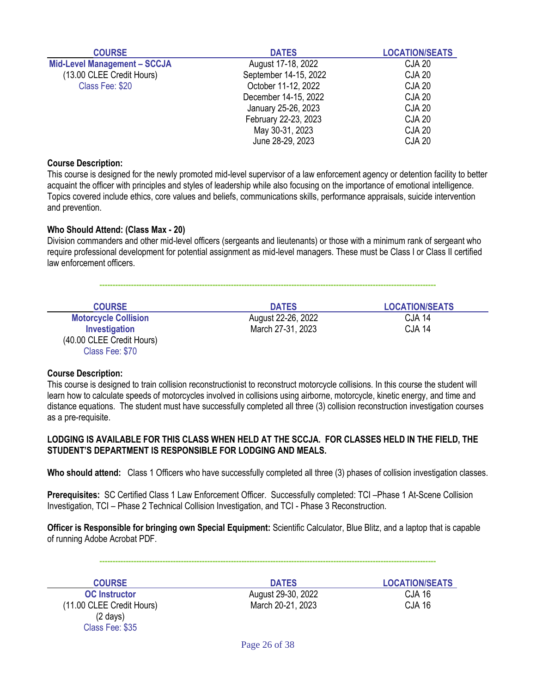| <b>COURSE</b>                       | <b>DATES</b>          | <b>LOCATION/SEATS</b> |
|-------------------------------------|-----------------------|-----------------------|
| <b>Mid-Level Management - SCCJA</b> | August 17-18, 2022    | <b>CJA 20</b>         |
| (13.00 CLEE Credit Hours)           | September 14-15, 2022 | <b>CJA 20</b>         |
| Class Fee: \$20                     | October 11-12, 2022   | <b>CJA 20</b>         |
|                                     | December 14-15, 2022  | <b>CJA 20</b>         |
|                                     | January 25-26, 2023   | <b>CJA 20</b>         |
|                                     | February 22-23, 2023  | <b>CJA 20</b>         |
|                                     | May 30-31, 2023       | <b>CJA 20</b>         |
|                                     | June 28-29, 2023      | <b>CJA 20</b>         |

This course is designed for the newly promoted mid-level supervisor of a law enforcement agency or detention facility to better acquaint the officer with principles and styles of leadership while also focusing on the importance of emotional intelligence. Topics covered include ethics, core values and beliefs, communications skills, performance appraisals, suicide intervention and prevention.

## **Who Should Attend: (Class Max - 20)**

Division commanders and other mid-level officers (sergeants and lieutenants) or those with a minimum rank of sergeant who require professional development for potential assignment as mid-level managers. These must be Class I or Class II certified law enforcement officers.

**--------------------------------------------------------------------------------------------------------------------------------**

| <b>COURSE</b>               | <b>DATES</b>       | <b>LOCATION/SEATS</b> |  |
|-----------------------------|--------------------|-----------------------|--|
| <b>Motorcycle Collision</b> | August 22-26, 2022 | <b>CJA 14</b>         |  |
| Investigation               | March 27-31, 2023  | <b>CJA 14</b>         |  |
| (40.00 CLEE Credit Hours)   |                    |                       |  |
| Class Fee: \$70             |                    |                       |  |

#### **Course Description:**

This course is designed to train collision reconstructionist to reconstruct motorcycle collisions. In this course the student will learn how to calculate speeds of motorcycles involved in collisions using airborne, motorcycle, kinetic energy, and time and distance equations. The student must have successfully completed all three (3) collision reconstruction investigation courses as a pre-requisite.

# **LODGING IS AVAILABLE FOR THIS CLASS WHEN HELD AT THE SCCJA. FOR CLASSES HELD IN THE FIELD, THE STUDENT'S DEPARTMENT IS RESPONSIBLE FOR LODGING AND MEALS.**

**Who should attend:** Class 1 Officers who have successfully completed all three (3) phases of collision investigation classes.

**Prerequisites:** SC Certified Class 1 Law Enforcement Officer. Successfully completed: TCI –Phase 1 At-Scene Collision Investigation, TCI – Phase 2 Technical Collision Investigation, and TCI - Phase 3 Reconstruction.

**Officer is Responsible for bringing own Special Equipment:** Scientific Calculator, Blue Blitz, and a laptop that is capable of running Adobe Acrobat PDF.

**--------------------------------------------------------------------------------------------------------------------------------**

**COURSE DATES LOCATION/SEATS**<br> **DATES LOCATION/SEATS**<br> **DATES LOCATION/SEATS** (11.00 CLEE Credit Hours) March 20-21, 2023 CJA 16 (2 days) Class Fee: \$35

**CJA 16** CJA 16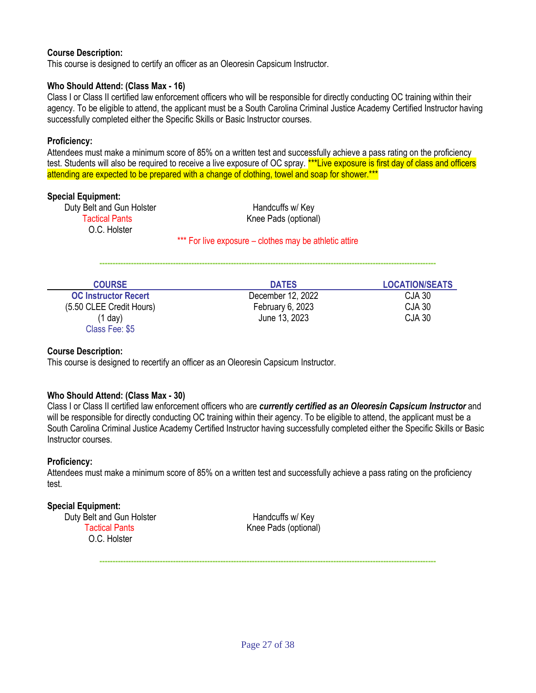This course is designed to certify an officer as an Oleoresin Capsicum Instructor.

# **Who Should Attend: (Class Max - 16)**

Class I or Class II certified law enforcement officers who will be responsible for directly conducting OC training within their agency. To be eligible to attend, the applicant must be a South Carolina Criminal Justice Academy Certified Instructor having successfully completed either the Specific Skills or Basic Instructor courses.

# **Proficiency:**

Attendees must make a minimum score of 85% on a written test and successfully achieve a pass rating on the proficiency test. Students will also be required to receive a live exposure of OC spray. \*\*\*Live exposure is first day of class and officers attending are expected to be prepared with a change of clothing, towel and soap for shower.\*\*\*

#### **Special Equipment:**

Duty Belt and Gun Holster **Handcuffs** w/ Key O.C. Holster

Tactical Pants **Knee Pads** (optional)

\*\*\* For live exposure – clothes may be athletic attire

**--------------------------------------------------------------------------------------------------------------------------------**

| <b>COURSE</b>               | <b>DATES</b>      | <b>LOCATION/SEATS</b> |
|-----------------------------|-------------------|-----------------------|
| <b>OC Instructor Recert</b> | December 12, 2022 | CJA 30                |
| (5.50 CLEE Credit Hours)    | February 6, 2023  | <b>CJA 30</b>         |
| (1 day)<br>Class Fee: \$5   | June 13, 2023     | <b>CJA 30</b>         |

#### **Course Description:**

This course is designed to recertify an officer as an Oleoresin Capsicum Instructor.

# **Who Should Attend: (Class Max - 30)**

Class I or Class II certified law enforcement officers who are *currently certified as an Oleoresin Capsicum Instructor* and will be responsible for directly conducting OC training within their agency. To be eligible to attend, the applicant must be a South Carolina Criminal Justice Academy Certified Instructor having successfully completed either the Specific Skills or Basic Instructor courses.

#### **Proficiency:**

Attendees must make a minimum score of 85% on a written test and successfully achieve a pass rating on the proficiency test.

# **Special Equipment:**

Duty Belt and Gun Holster **Handcuffs w/ Key** Tactical Pants **Knee Pads** (optional) O.C. Holster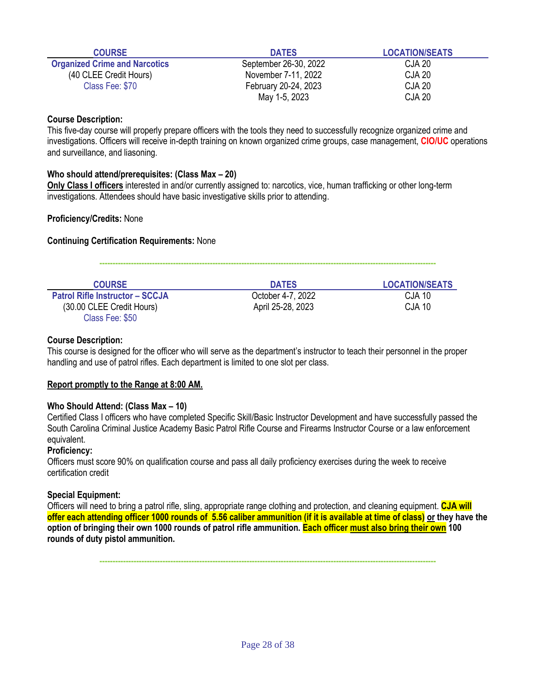| <b>COURSE</b>                        | <b>DATES</b>          | <b>LOCATION/SEATS</b> |
|--------------------------------------|-----------------------|-----------------------|
| <b>Organized Crime and Narcotics</b> | September 26-30, 2022 | CJA 20                |
| (40 CLEE Credit Hours)               | November 7-11, 2022   | CJA 20                |
| Class Fee: \$70                      | February 20-24, 2023  | CJA 20                |
|                                      | May 1-5, 2023         | CJA 20                |

This five-day course will properly prepare officers with the tools they need to successfully recognize organized crime and investigations. Officers will receive in-depth training on known organized crime groups, case management, **CIO/UC** operations and surveillance, and liasoning.

## **Who should attend/prerequisites: (Class Max – 20)**

**Only Class I officers** interested in and/or currently assigned to: narcotics, vice, human trafficking or other long-term investigations. Attendees should have basic investigative skills prior to attending.

## **Proficiency/Credits:** None

## **Continuing Certification Requirements:** None

| <b>COURSE</b>                          | <b>DATES</b>      | <b>LOCATION/SEATS</b> |
|----------------------------------------|-------------------|-----------------------|
| <b>Patrol Rifle Instructor - SCCJA</b> | October 4-7, 2022 | CJA 10                |
| (30.00 CLEE Credit Hours)              | April 25-28, 2023 | <b>CJA 10</b>         |
| Class Fee: \$50                        |                   |                       |

**--------------------------------------------------------------------------------------------------------------------------------**

## **Course Description:**

This course is designed for the officer who will serve as the department's instructor to teach their personnel in the proper handling and use of patrol rifles. Each department is limited to one slot per class.

#### **Report promptly to the Range at 8:00 AM.**

#### **Who Should Attend: (Class Max – 10)**

Certified Class I officers who have completed Specific Skill/Basic Instructor Development and have successfully passed the South Carolina Criminal Justice Academy Basic Patrol Rifle Course and Firearms Instructor Course or a law enforcement equivalent.

#### **Proficiency:**

Officers must score 90% on qualification course and pass all daily proficiency exercises during the week to receive certification credit

# **Special Equipment:**

Officers will need to bring a patrol rifle, sling, appropriate range clothing and protection, and cleaning equipment. **CJA will offer each attending officer 1000 rounds of 5.56 caliber ammunition (if it is available at time of class) or they have the option of bringing their own 1000 rounds of patrol rifle ammunition. Each officer must also bring their own 100 rounds of duty pistol ammunition.**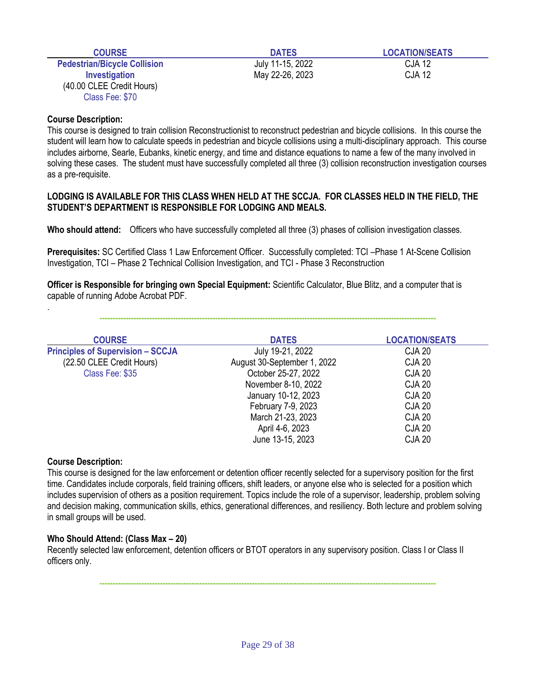| <b>COURSE</b>                                                 | <b>DATES</b>     | <b>LOCATION/SEATS</b> |
|---------------------------------------------------------------|------------------|-----------------------|
| <b>Pedestrian/Bicycle Collision</b>                           | July 11-15, 2022 | CJA 12                |
| Investigation<br>(40.00 CLEE Credit Hours)<br>Class Fee: \$70 | May 22-26, 2023  | CJA 12                |

This course is designed to train collision Reconstructionist to reconstruct pedestrian and bicycle collisions. In this course the student will learn how to calculate speeds in pedestrian and bicycle collisions using a multi-disciplinary approach. This course includes airborne, Searle, Eubanks, kinetic energy, and time and distance equations to name a few of the many involved in solving these cases. The student must have successfully completed all three (3) collision reconstruction investigation courses as a pre-requisite.

#### **LODGING IS AVAILABLE FOR THIS CLASS WHEN HELD AT THE SCCJA. FOR CLASSES HELD IN THE FIELD, THE STUDENT'S DEPARTMENT IS RESPONSIBLE FOR LODGING AND MEALS.**

**Who should attend:** Officers who have successfully completed all three (3) phases of collision investigation classes.

**Prerequisites:** SC Certified Class 1 Law Enforcement Officer. Successfully completed: TCI –Phase 1 At-Scene Collision Investigation, TCI – Phase 2 Technical Collision Investigation, and TCI - Phase 3 Reconstruction

**Officer is Responsible for bringing own Special Equipment:** Scientific Calculator, Blue Blitz, and a computer that is capable of running Adobe Acrobat PDF.

| <b>COURSE</b>                            | <b>DATES</b>                | <b>LOCATION/SEATS</b> |
|------------------------------------------|-----------------------------|-----------------------|
| <b>Principles of Supervision - SCCJA</b> | July 19-21, 2022            | <b>CJA 20</b>         |
| (22.50 CLEE Credit Hours)                | August 30-September 1, 2022 | <b>CJA 20</b>         |
| Class Fee: \$35                          | October 25-27, 2022         | <b>CJA 20</b>         |
|                                          | November 8-10, 2022         | <b>CJA 20</b>         |
|                                          | January 10-12, 2023         | <b>CJA 20</b>         |
|                                          | February 7-9, 2023          | <b>CJA 20</b>         |
|                                          | March 21-23, 2023           | <b>CJA 20</b>         |
|                                          | April 4-6, 2023             | <b>CJA 20</b>         |
|                                          | June 13-15, 2023            | <b>CJA 20</b>         |

**--------------------------------------------------------------------------------------------------------------------------------**

#### **Course Description:**

.

This course is designed for the law enforcement or detention officer recently selected for a supervisory position for the first time. Candidates include corporals, field training officers, shift leaders, or anyone else who is selected for a position which includes supervision of others as a position requirement. Topics include the role of a supervisor, leadership, problem solving and decision making, communication skills, ethics, generational differences, and resiliency. Both lecture and problem solving in small groups will be used.

# **Who Should Attend: (Class Max – 20)**

Recently selected law enforcement, detention officers or BTOT operators in any supervisory position. Class I or Class II officers only.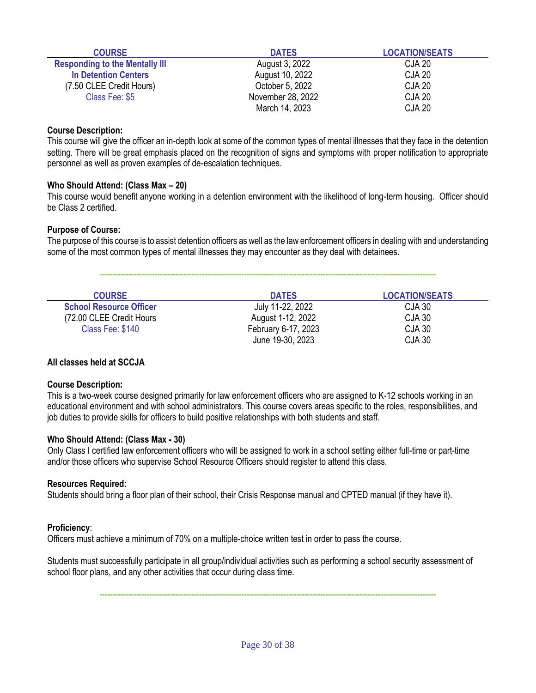| <b>COURSE</b>                         | <b>DATES</b>      | <b>LOCATION/SEATS</b> |
|---------------------------------------|-------------------|-----------------------|
| <b>Responding to the Mentally III</b> | August 3, 2022    | CJA 20                |
| <b>In Detention Centers</b>           | August 10, 2022   | <b>CJA 20</b>         |
| (7.50 CLEE Credit Hours)              | October 5, 2022   | <b>CJA 20</b>         |
| Class Fee: \$5                        | November 28, 2022 | <b>CJA 20</b>         |
|                                       | March 14, 2023    | <b>CJA 20</b>         |

This course will give the officer an in-depth look at some of the common types of mental illnesses that they face in the detention setting. There will be great emphasis placed on the recognition of signs and symptoms with proper notification to appropriate personnel as well as proven examples of de-escalation techniques.

## **Who Should Attend: (Class Max – 20)**

This course would benefit anyone working in a detention environment with the likelihood of long-term housing. Officer should be Class 2 certified.

## **Purpose of Course:**

The purpose of this course is to assist detention officers as well as the law enforcement officers in dealing with and understanding some of the most common types of mental illnesses they may encounter as they deal with detainees.

**--------------------------------------------------------------------------------------------------------------------------------**

| <b>COURSE</b>                  | <b>DATES</b>        | <b>LOCATION/SEATS</b> |
|--------------------------------|---------------------|-----------------------|
| <b>School Resource Officer</b> | July 11-22, 2022    | CJA 30                |
| (72.00 CLEE Credit Hours)      | August 1-12, 2022   | CJA 30                |
| Class Fee: \$140               | February 6-17, 2023 | CJA 30                |
|                                | June 19-30, 2023    | <b>CJA 30</b>         |

# **All classes held at SCCJA**

#### **Course Description:**

This is a two-week course designed primarily for law enforcement officers who are assigned to K-12 schools working in an educational environment and with school administrators. This course covers areas specific to the roles, responsibilities, and job duties to provide skills for officers to build positive relationships with both students and staff.

#### **Who Should Attend: (Class Max - 30)**

Only Class I certified law enforcement officers who will be assigned to work in a school setting either full-time or part-time and/or those officers who supervise School Resource Officers should register to attend this class.

#### **Resources Required:**

Students should bring a floor plan of their school, their Crisis Response manual and CPTED manual (if they have it).

#### **Proficiency**:

Officers must achieve a minimum of 70% on a multiple-choice written test in order to pass the course.

Students must successfully participate in all group/individual activities such as performing a school security assessment of school floor plans, and any other activities that occur during class time.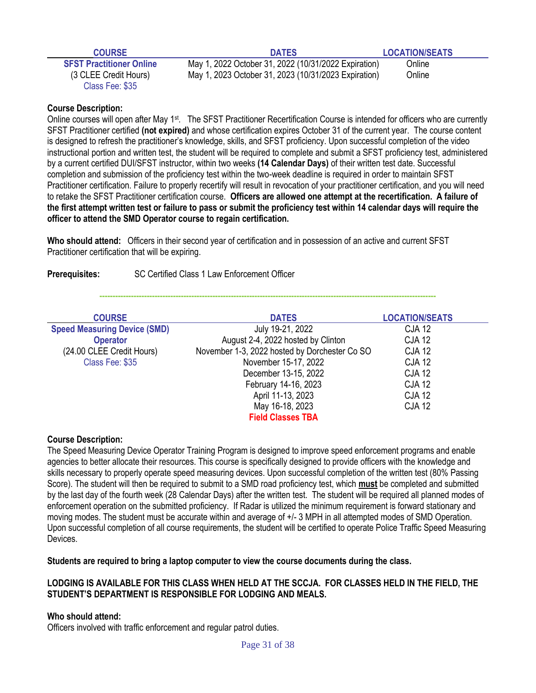| <b>COURSE</b>                   | <b>DATES</b>                                         | <b>LOCATION/SEATS</b> |
|---------------------------------|------------------------------------------------------|-----------------------|
| <b>SFST Practitioner Online</b> | May 1, 2022 October 31, 2022 (10/31/2022 Expiration) | Online                |
| (3 CLEE Credit Hours)           | May 1, 2023 October 31, 2023 (10/31/2023 Expiration) | Online                |
| Class Fee: \$35                 |                                                      |                       |

Online courses will open after May 1<sup>st</sup>. The SFST Practitioner Recertification Course is intended for officers who are currently SFST Practitioner certified **(not expired)** and whose certification expires October 31 of the current year. The course content is designed to refresh the practitioner's knowledge, skills, and SFST proficiency. Upon successful completion of the video instructional portion and written test, the student will be required to complete and submit a SFST proficiency test, administered by a current certified DUI/SFST instructor, within two weeks **(14 Calendar Days)** of their written test date. Successful completion and submission of the proficiency test within the two-week deadline is required in order to maintain SFST Practitioner certification. Failure to properly recertify will result in revocation of your practitioner certification, and you will need to retake the SFST Practitioner certification course. **Officers are allowed one attempt at the recertification. A failure of the first attempt written test or failure to pass or submit the proficiency test within 14 calendar days will require the officer to attend the SMD Operator course to regain certification.**

**Who should attend:** Officers in their second year of certification and in possession of an active and current SFST Practitioner certification that will be expiring.

**Prerequisites:** SC Certified Class 1 Law Enforcement Officer

**--------------------------------------------------------------------------------------------------------------------------------**

| <b>COURSE</b>                       | <b>DATES</b>                                  | <b>LOCATION/SEATS</b> |
|-------------------------------------|-----------------------------------------------|-----------------------|
| <b>Speed Measuring Device (SMD)</b> | July 19-21, 2022                              | <b>CJA 12</b>         |
| <b>Operator</b>                     | August 2-4, 2022 hosted by Clinton            | <b>CJA 12</b>         |
| (24.00 CLEE Credit Hours)           | November 1-3, 2022 hosted by Dorchester Co SO | <b>CJA 12</b>         |
| Class Fee: \$35                     | November 15-17, 2022                          | <b>CJA 12</b>         |
|                                     | December 13-15, 2022                          | <b>CJA 12</b>         |
|                                     | February 14-16, 2023                          | <b>CJA 12</b>         |
|                                     | April 11-13, 2023                             | <b>CJA 12</b>         |
|                                     | May 16-18, 2023                               | <b>CJA 12</b>         |
|                                     | <b>Field Classes TBA</b>                      |                       |

#### **Course Description:**

The Speed Measuring Device Operator Training Program is designed to improve speed enforcement programs and enable agencies to better allocate their resources. This course is specifically designed to provide officers with the knowledge and skills necessary to properly operate speed measuring devices. Upon successful completion of the written test (80% Passing Score). The student will then be required to submit to a SMD road proficiency test, which **must** be completed and submitted by the last day of the fourth week (28 Calendar Days) after the written test. The student will be required all planned modes of enforcement operation on the submitted proficiency. If Radar is utilized the minimum requirement is forward stationary and moving modes. The student must be accurate within and average of +/- 3 MPH in all attempted modes of SMD Operation. Upon successful completion of all course requirements, the student will be certified to operate Police Traffic Speed Measuring **Devices** 

**Students are required to bring a laptop computer to view the course documents during the class.** 

# **LODGING IS AVAILABLE FOR THIS CLASS WHEN HELD AT THE SCCJA. FOR CLASSES HELD IN THE FIELD, THE STUDENT'S DEPARTMENT IS RESPONSIBLE FOR LODGING AND MEALS.**

#### **Who should attend:**

Officers involved with traffic enforcement and regular patrol duties.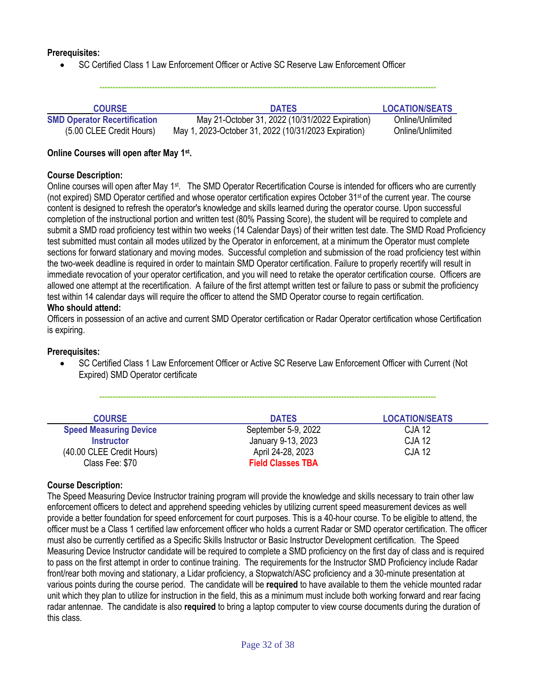## **Prerequisites:**

• SC Certified Class 1 Law Enforcement Officer or Active SC Reserve Law Enforcement Officer

**--------------------------------------------------------------------------------------------------------------------------------**

| <b>COURSE</b>                       | <b>DATES</b>                                         | <b>LOCATION/SEATS</b> |
|-------------------------------------|------------------------------------------------------|-----------------------|
| <b>SMD Operator Recertification</b> | May 21-October 31, 2022 (10/31/2022 Expiration)      | Online/Unlimited      |
| (5.00 CLEE Credit Hours)            | May 1, 2023-October 31, 2022 (10/31/2023 Expiration) | Online/Unlimited      |

### **Online Courses will open after May 1st .**

## **Course Description:**

Online courses will open after May 1<sup>st</sup>. The SMD Operator Recertification Course is intended for officers who are currently (not expired) SMD Operator certified and whose operator certification expires October 31st of the current year. The course content is designed to refresh the operator's knowledge and skills learned during the operator course. Upon successful completion of the instructional portion and written test (80% Passing Score), the student will be required to complete and submit a SMD road proficiency test within two weeks (14 Calendar Days) of their written test date. The SMD Road Proficiency test submitted must contain all modes utilized by the Operator in enforcement, at a minimum the Operator must complete sections for forward stationary and moving modes. Successful completion and submission of the road proficiency test within the two-week deadline is required in order to maintain SMD Operator certification. Failure to properly recertify will result in immediate revocation of your operator certification, and you will need to retake the operator certification course. Officers are allowed one attempt at the recertification. A failure of the first attempt written test or failure to pass or submit the proficiency test within 14 calendar days will require the officer to attend the SMD Operator course to regain certification.

## **Who should attend:**

Officers in possession of an active and current SMD Operator certification or Radar Operator certification whose Certification is expiring.

#### **Prerequisites:**

• SC Certified Class 1 Law Enforcement Officer or Active SC Reserve Law Enforcement Officer with Current (Not Expired) SMD Operator certificate

**--------------------------------------------------------------------------------------------------------------------------------**

| <b>COURSE</b>                 | <b>DATES</b>             | <b>LOCATION/SEATS</b> |
|-------------------------------|--------------------------|-----------------------|
| <b>Speed Measuring Device</b> | September 5-9, 2022      | <b>CJA 12</b>         |
| <b>Instructor</b>             | January 9-13, 2023       | <b>CJA 12</b>         |
| (40.00 CLEE Credit Hours)     | April 24-28, 2023        | <b>CJA 12</b>         |
| Class Fee: \$70               | <b>Field Classes TBA</b> |                       |

# **Course Description:**

The Speed Measuring Device Instructor training program will provide the knowledge and skills necessary to train other law enforcement officers to detect and apprehend speeding vehicles by utilizing current speed measurement devices as well provide a better foundation for speed enforcement for court purposes. This is a 40-hour course. To be eligible to attend, the officer must be a Class 1 certified law enforcement officer who holds a current Radar or SMD operator certification. The officer must also be currently certified as a Specific Skills Instructor or Basic Instructor Development certification. The Speed Measuring Device Instructor candidate will be required to complete a SMD proficiency on the first day of class and is required to pass on the first attempt in order to continue training. The requirements for the Instructor SMD Proficiency include Radar front/rear both moving and stationary, a Lidar proficiency, a Stopwatch/ASC proficiency and a 30-minute presentation at various points during the course period. The candidate will be **required** to have available to them the vehicle mounted radar unit which they plan to utilize for instruction in the field, this as a minimum must include both working forward and rear facing radar antennae. The candidate is also **required** to bring a laptop computer to view course documents during the duration of this class.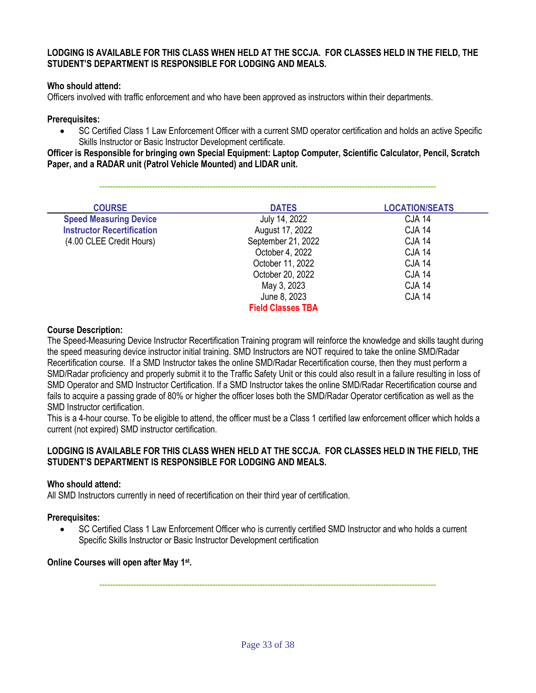## **LODGING IS AVAILABLE FOR THIS CLASS WHEN HELD AT THE SCCJA. FOR CLASSES HELD IN THE FIELD, THE STUDENT'S DEPARTMENT IS RESPONSIBLE FOR LODGING AND MEALS.**

# **Who should attend:**

Officers involved with traffic enforcement and who have been approved as instructors within their departments.

#### **Prerequisites:**

• SC Certified Class 1 Law Enforcement Officer with a current SMD operator certification and holds an active Specific Skills Instructor or Basic Instructor Development certificate.

**Officer is Responsible for bringing own Special Equipment: Laptop Computer, Scientific Calculator, Pencil, Scratch Paper, and a RADAR unit (Patrol Vehicle Mounted) and LIDAR unit.**

**--------------------------------------------------------------------------------------------------------------------------------**

| <b>COURSE</b>                     | <b>DATES</b>             | <b>LOCATION/SEATS</b> |
|-----------------------------------|--------------------------|-----------------------|
| <b>Speed Measuring Device</b>     | July 14, 2022            | <b>CJA 14</b>         |
| <b>Instructor Recertification</b> | August 17, 2022          | <b>CJA 14</b>         |
| (4.00 CLEE Credit Hours)          | September 21, 2022       | <b>CJA 14</b>         |
|                                   | October 4, 2022          | <b>CJA 14</b>         |
|                                   | October 11, 2022         | <b>CJA 14</b>         |
|                                   | October 20, 2022         | <b>CJA 14</b>         |
|                                   | May 3, 2023              | <b>CJA 14</b>         |
|                                   | June 8, 2023             | <b>CJA 14</b>         |
|                                   | <b>Field Classes TBA</b> |                       |

#### **Course Description:**

The Speed-Measuring Device Instructor Recertification Training program will reinforce the knowledge and skills taught during the speed measuring device instructor initial training. SMD Instructors are NOT required to take the online SMD/Radar Recertification course. If a SMD Instructor takes the online SMD/Radar Recertification course, then they must perform a SMD/Radar proficiency and properly submit it to the Traffic Safety Unit or this could also result in a failure resulting in loss of SMD Operator and SMD Instructor Certification. If a SMD Instructor takes the online SMD/Radar Recertification course and fails to acquire a passing grade of 80% or higher the officer loses both the SMD/Radar Operator certification as well as the SMD Instructor certification.

This is a 4-hour course. To be eligible to attend, the officer must be a Class 1 certified law enforcement officer which holds a current (not expired) SMD instructor certification.

## **LODGING IS AVAILABLE FOR THIS CLASS WHEN HELD AT THE SCCJA. FOR CLASSES HELD IN THE FIELD, THE STUDENT'S DEPARTMENT IS RESPONSIBLE FOR LODGING AND MEALS.**

# **Who should attend:**

All SMD Instructors currently in need of recertification on their third year of certification.

#### **Prerequisites:**

• SC Certified Class 1 Law Enforcement Officer who is currently certified SMD Instructor and who holds a current Specific Skills Instructor or Basic Instructor Development certification

#### **Online Courses will open after May 1st .**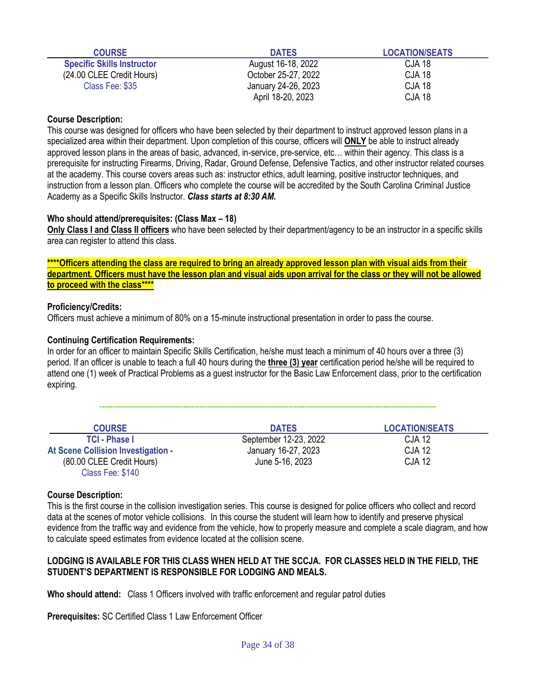| <b>COURSE</b>                     | <b>DATES</b>        | <b>LOCATION/SEATS</b> |
|-----------------------------------|---------------------|-----------------------|
| <b>Specific Skills Instructor</b> | August 16-18, 2022  | CJA 18                |
| (24.00 CLEE Credit Hours)         | October 25-27, 2022 | <b>CJA 18</b>         |
| Class Fee: \$35                   | January 24-26, 2023 | <b>CJA 18</b>         |
|                                   | April 18-20, 2023   | <b>CJA 18</b>         |

This course was designed for officers who have been selected by their department to instruct approved lesson plans in a specialized area within their department. Upon completion of this course, officers will **ONLY** be able to instruct already approved lesson plans in the areas of basic, advanced, in-service, pre-service, etc… within their agency. This class is a prerequisite for instructing Firearms, Driving, Radar, Ground Defense, Defensive Tactics, and other instructor related courses at the academy. This course covers areas such as: instructor ethics, adult learning, positive instructor techniques, and instruction from a lesson plan. Officers who complete the course will be accredited by the South Carolina Criminal Justice Academy as a Specific Skills Instructor. *Class starts at 8:30 AM.*

## **Who should attend/prerequisites: (Class Max – 18)**

**Only Class I and Class II officers** who have been selected by their department/agency to be an instructor in a specific skills area can register to attend this class.

**\*\*\*\*Officers attending the class are required to bring an already approved lesson plan with visual aids from their department. Officers must have the lesson plan and visual aids upon arrival for the class or they will not be allowed to proceed with the class\*\*\*\***

## **Proficiency/Credits:**

Officers must achieve a minimum of 80% on a 15-minute instructional presentation in order to pass the course.

## **Continuing Certification Requirements:**

In order for an officer to maintain Specific Skills Certification, he/she must teach a minimum of 40 hours over a three (3) period. If an officer is unable to teach a full 40 hours during the **three (3) year** certification period he/she will be required to attend one (1) week of Practical Problems as a guest instructor for the Basic Law Enforcement class, prior to the certification expiring.

**--------------------------------------------------------------------------------------------------------------------------------**

| <b>COURSE</b>                      | <b>DATES</b>          | <b>LOCATION/SEATS</b> |
|------------------------------------|-----------------------|-----------------------|
| <b>TCI - Phase I</b>               | September 12-23, 2022 | CJA 12                |
| At Scene Collision Investigation - | January 16-27, 2023   | <b>CJA 12</b>         |
| (80.00 CLEE Credit Hours)          | June 5-16, 2023       | <b>CJA 12</b>         |
| Class Fee: \$140                   |                       |                       |

#### **Course Description:**

This is the first course in the collision investigation series. This course is designed for police officers who collect and record data at the scenes of motor vehicle collisions. In this course the student will learn how to identify and preserve physical evidence from the traffic way and evidence from the vehicle, how to properly measure and complete a scale diagram, and how to calculate speed estimates from evidence located at the collision scene.

# **LODGING IS AVAILABLE FOR THIS CLASS WHEN HELD AT THE SCCJA. FOR CLASSES HELD IN THE FIELD, THE STUDENT'S DEPARTMENT IS RESPONSIBLE FOR LODGING AND MEALS.**

**Who should attend:** Class 1 Officers involved with traffic enforcement and regular patrol duties

**Prerequisites:** SC Certified Class 1 Law Enforcement Officer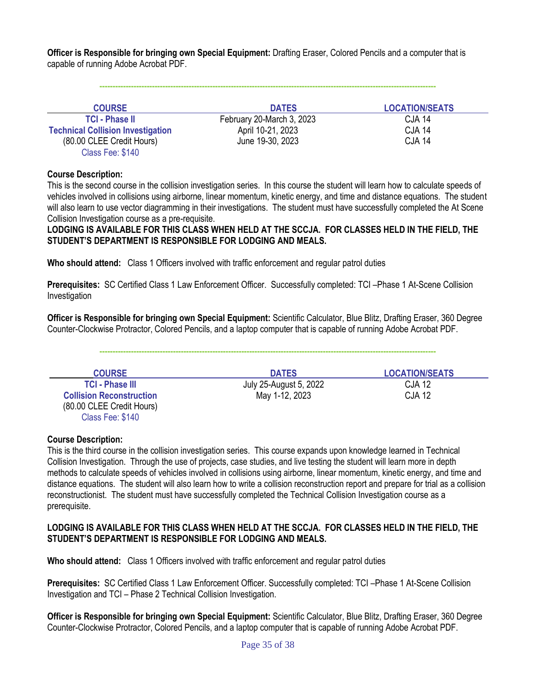**Officer is Responsible for bringing own Special Equipment:** Drafting Eraser, Colored Pencils and a computer that is capable of running Adobe Acrobat PDF.

| <b>COURSE</b>                            | <b>DATES</b>              | <b>LOCATION/SEATS</b> |
|------------------------------------------|---------------------------|-----------------------|
| <b>TCI - Phase II</b>                    | February 20-March 3, 2023 | <b>CJA 14</b>         |
| <b>Technical Collision Investigation</b> | April 10-21, 2023         | <b>CJA 14</b>         |
| (80.00 CLEE Credit Hours)                | June 19-30, 2023          | <b>CJA 14</b>         |
| Class Fee: \$140                         |                           |                       |

**--------------------------------------------------------------------------------------------------------------------------------**

#### **Course Description:**

This is the second course in the collision investigation series. In this course the student will learn how to calculate speeds of vehicles involved in collisions using airborne, linear momentum, kinetic energy, and time and distance equations. The student will also learn to use vector diagramming in their investigations. The student must have successfully completed the At Scene Collision Investigation course as a pre-requisite.

**LODGING IS AVAILABLE FOR THIS CLASS WHEN HELD AT THE SCCJA. FOR CLASSES HELD IN THE FIELD, THE STUDENT'S DEPARTMENT IS RESPONSIBLE FOR LODGING AND MEALS.** 

**Who should attend:** Class 1 Officers involved with traffic enforcement and regular patrol duties

**Prerequisites:** SC Certified Class 1 Law Enforcement Officer. Successfully completed: TCI –Phase 1 At-Scene Collision Investigation

**Officer is Responsible for bringing own Special Equipment:** Scientific Calculator, Blue Blitz, Drafting Eraser, 360 Degree Counter-Clockwise Protractor, Colored Pencils, and a laptop computer that is capable of running Adobe Acrobat PDF.

**--------------------------------------------------------------------------------------------------------------------------------**

| <b>COURSE</b>                   | <b>DATES</b>           | <b>LOCATION/SEATS</b> |
|---------------------------------|------------------------|-----------------------|
| <b>TCI - Phase III</b>          | July 25-August 5, 2022 | CJA 12                |
| <b>Collision Reconstruction</b> | May 1-12, 2023         | <b>CJA 12</b>         |
| (80.00 CLEE Credit Hours)       |                        |                       |
| Class Fee: \$140                |                        |                       |

#### **Course Description:**

This is the third course in the collision investigation series. This course expands upon knowledge learned in Technical Collision Investigation. Through the use of projects, case studies, and live testing the student will learn more in depth methods to calculate speeds of vehicles involved in collisions using airborne, linear momentum, kinetic energy, and time and distance equations. The student will also learn how to write a collision reconstruction report and prepare for trial as a collision reconstructionist. The student must have successfully completed the Technical Collision Investigation course as a prerequisite.

#### **LODGING IS AVAILABLE FOR THIS CLASS WHEN HELD AT THE SCCJA. FOR CLASSES HELD IN THE FIELD, THE STUDENT'S DEPARTMENT IS RESPONSIBLE FOR LODGING AND MEALS.**

**Who should attend:** Class 1 Officers involved with traffic enforcement and regular patrol duties

**Prerequisites:** SC Certified Class 1 Law Enforcement Officer. Successfully completed: TCI –Phase 1 At-Scene Collision Investigation and TCI – Phase 2 Technical Collision Investigation.

**Officer is Responsible for bringing own Special Equipment:** Scientific Calculator, Blue Blitz, Drafting Eraser, 360 Degree Counter-Clockwise Protractor, Colored Pencils, and a laptop computer that is capable of running Adobe Acrobat PDF.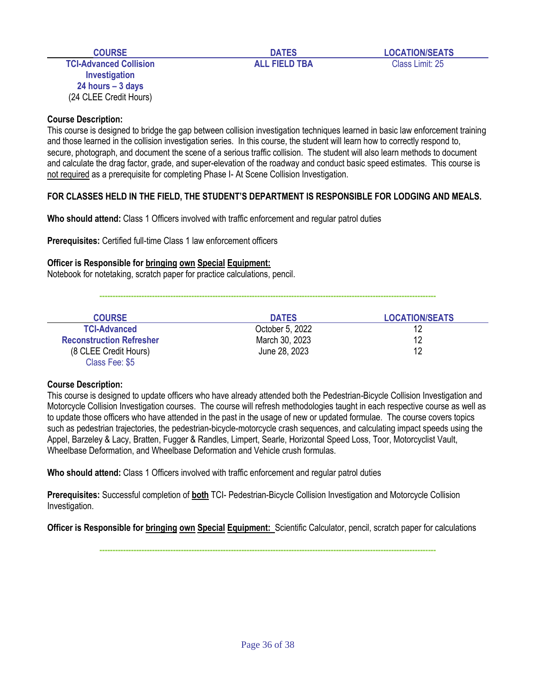**COURSE DATES LOCATION/SEATS**

**TCI-Advanced Collision ALL FIELD TBA** Class Limit: 25 **Investigation 24 hours – 3 days** (24 CLEE Credit Hours)

# **Course Description:**

This course is designed to bridge the gap between collision investigation techniques learned in basic law enforcement training and those learned in the collision investigation series. In this course, the student will learn how to correctly respond to, secure, photograph, and document the scene of a serious traffic collision. The student will also learn methods to document and calculate the drag factor, grade, and super-elevation of the roadway and conduct basic speed estimates. This course is not required as a prerequisite for completing Phase I- At Scene Collision Investigation.

# **FOR CLASSES HELD IN THE FIELD, THE STUDENT'S DEPARTMENT IS RESPONSIBLE FOR LODGING AND MEALS.**

**Who should attend:** Class 1 Officers involved with traffic enforcement and regular patrol duties

**Prerequisites:** Certified full-time Class 1 law enforcement officers

#### **Officer is Responsible for bringing own Special Equipment:**

Notebook for notetaking, scratch paper for practice calculations, pencil.

**--------------------------------------------------------------------------------------------------------------------------------**

| <b>COURSE</b>                   | <b>DATES</b>    | <b>LOCATION/SEATS</b> |
|---------------------------------|-----------------|-----------------------|
| <b>TCI-Advanced</b>             | October 5, 2022 | 12                    |
| <b>Reconstruction Refresher</b> | March 30, 2023  | 12                    |
| (8 CLEE Credit Hours)           | June 28, 2023   | 12                    |
| Class Fee: \$5                  |                 |                       |

#### **Course Description:**

This course is designed to update officers who have already attended both the Pedestrian-Bicycle Collision Investigation and Motorcycle Collision Investigation courses. The course will refresh methodologies taught in each respective course as well as to update those officers who have attended in the past in the usage of new or updated formulae. The course covers topics such as pedestrian trajectories, the pedestrian-bicycle-motorcycle crash sequences, and calculating impact speeds using the Appel, Barzeley & Lacy, Bratten, Fugger & Randles, Limpert, Searle, Horizontal Speed Loss, Toor, Motorcyclist Vault, Wheelbase Deformation, and Wheelbase Deformation and Vehicle crush formulas.

**Who should attend:** Class 1 Officers involved with traffic enforcement and regular patrol duties

**Prerequisites:** Successful completion of **both** TCI- Pedestrian-Bicycle Collision Investigation and Motorcycle Collision Investigation.

**Officer is Responsible for bringing own Special Equipment:** Scientific Calculator, pencil, scratch paper for calculations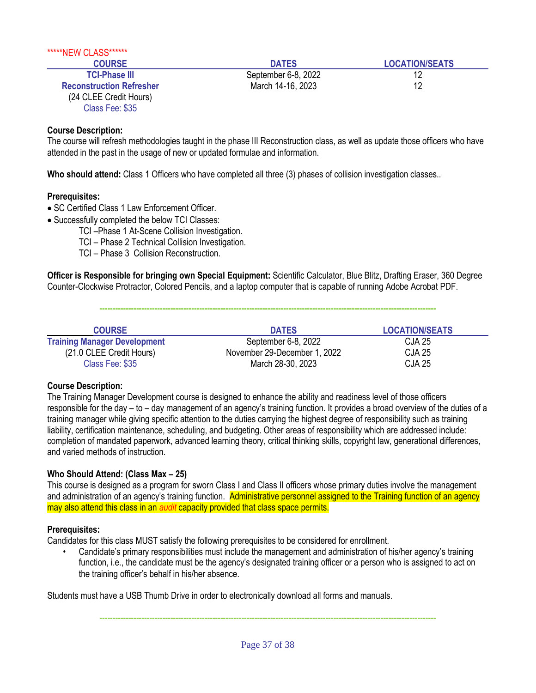| *****NEW CLASS******            |                     |                       |
|---------------------------------|---------------------|-----------------------|
| <b>COURSE</b>                   | <b>DATES</b>        | <b>LOCATION/SEATS</b> |
| <b>TCI-Phase III</b>            | September 6-8, 2022 | 12                    |
| <b>Reconstruction Refresher</b> | March 14-16, 2023   | 12                    |
| (24 CLEE Credit Hours)          |                     |                       |
| Class Fee: \$35                 |                     |                       |

The course will refresh methodologies taught in the phase III Reconstruction class, as well as update those officers who have attended in the past in the usage of new or updated formulae and information.

**Who should attend:** Class 1 Officers who have completed all three (3) phases of collision investigation classes..

## **Prerequisites:**

- SC Certified Class 1 Law Enforcement Officer.
- Successfully completed the below TCI Classes:
	- TCI –Phase 1 At-Scene Collision Investigation.

TCI – Phase 2 Technical Collision Investigation.

TCI – Phase 3 Collision Reconstruction.

**Officer is Responsible for bringing own Special Equipment:** Scientific Calculator, Blue Blitz, Drafting Eraser, 360 Degree Counter-Clockwise Protractor, Colored Pencils, and a laptop computer that is capable of running Adobe Acrobat PDF.

**--------------------------------------------------------------------------------------------------------------------------------**

| <b>COURSE</b>                       | <b>DATES</b>                 | <b>LOCATION/SEATS</b> |
|-------------------------------------|------------------------------|-----------------------|
| <b>Training Manager Development</b> | September 6-8, 2022          | <b>CJA 25</b>         |
| (21.0 CLEE Credit Hours)            | November 29-December 1, 2022 | CJA 25                |
| Class Fee: \$35                     | March 28-30, 2023            | CJA 25                |

#### **Course Description:**

The Training Manager Development course is designed to enhance the ability and readiness level of those officers responsible for the day – to – day management of an agency's training function. It provides a broad overview of the duties of a training manager while giving specific attention to the duties carrying the highest degree of responsibility such as training liability, certification maintenance, scheduling, and budgeting. Other areas of responsibility which are addressed include: completion of mandated paperwork, advanced learning theory, critical thinking skills, copyright law, generational differences, and varied methods of instruction.

# **Who Should Attend: (Class Max – 25)**

This course is designed as a program for sworn Class I and Class II officers whose primary duties involve the management and administration of an agency's training function. Administrative personnel assigned to the Training function of an agency may also attend this class in an *audit* capacity provided that class space permits.

# **Prerequisites:**

Candidates for this class MUST satisfy the following prerequisites to be considered for enrollment.

• Candidate's primary responsibilities must include the management and administration of his/her agency's training function, i.e., the candidate must be the agency's designated training officer or a person who is assigned to act on the training officer's behalf in his/her absence.

Students must have a USB Thumb Drive in order to electronically download all forms and manuals.